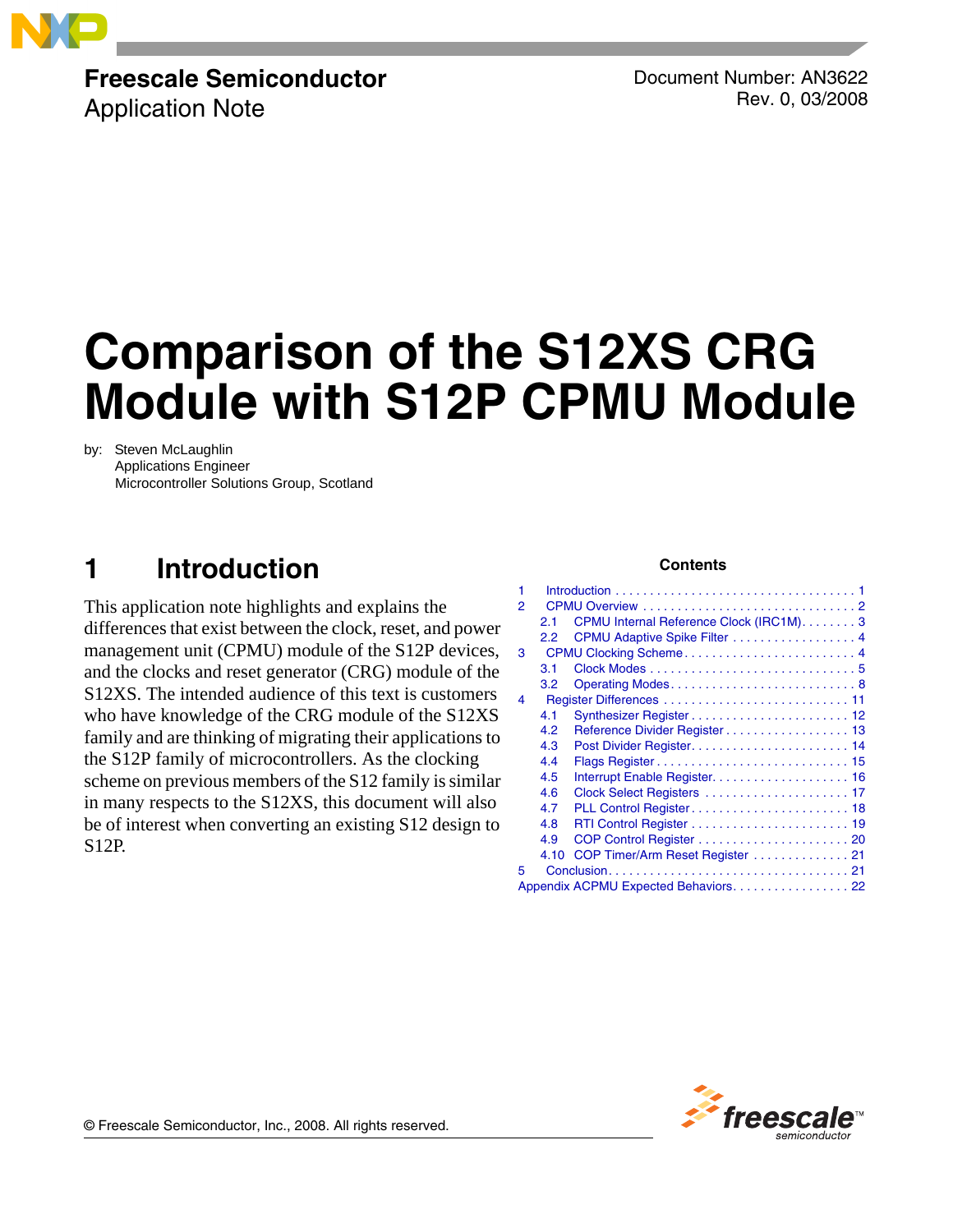

# **Freescale Semiconductor**

Application Note

Document Number: AN3622 Rev. 0, 03/2008

# **Comparison of the S12XS CRG Module with S12P CPMU Module**

by: Steven McLaughlin Applications Engineer Microcontroller Solutions Group, Scotland

# <span id="page-0-0"></span>**1 Introduction**

This application note highlights and explains the differences that exist between the clock, reset, and power management unit (CPMU) module of the S12P devices, and the clocks and reset generator (CRG) module of the S12XS. The intended audience of this text is customers who have knowledge of the CRG module of the S12XS family and are thinking of migrating their applications to the S12P family of microcontrollers. As the clocking scheme on previous members of the S12 family is similar in many respects to the S12XS, this document will also be of interest when converting an existing S12 design to S12P.

#### **Contents**

| 1 |               |                                          |
|---|---------------|------------------------------------------|
| 2 |               |                                          |
|   | 21            | CPMU Internal Reference Clock (IRC1M). 3 |
|   | $2.2^{\circ}$ | CPMU Adaptive Spike Filter  4            |
| 3 |               |                                          |
|   | 3.1           |                                          |
|   | 3.2           |                                          |
| 4 |               |                                          |
|   | 4.1           |                                          |
|   | 4.2           | Reference Divider Register 13            |
|   | 4.3           |                                          |
|   | 4.4           |                                          |
|   | 4.5           |                                          |
|   | 4.6           |                                          |
|   | 4.7           |                                          |
|   | 4.8           |                                          |
|   | 4.9           |                                          |
|   | 4.10          | COP Timer/Arm Reset Register 21          |
| 5 |               |                                          |
|   |               | Appendix ACPMU Expected Behaviors. 22    |



© Freescale Semiconductor, Inc., 2008. All rights reserved.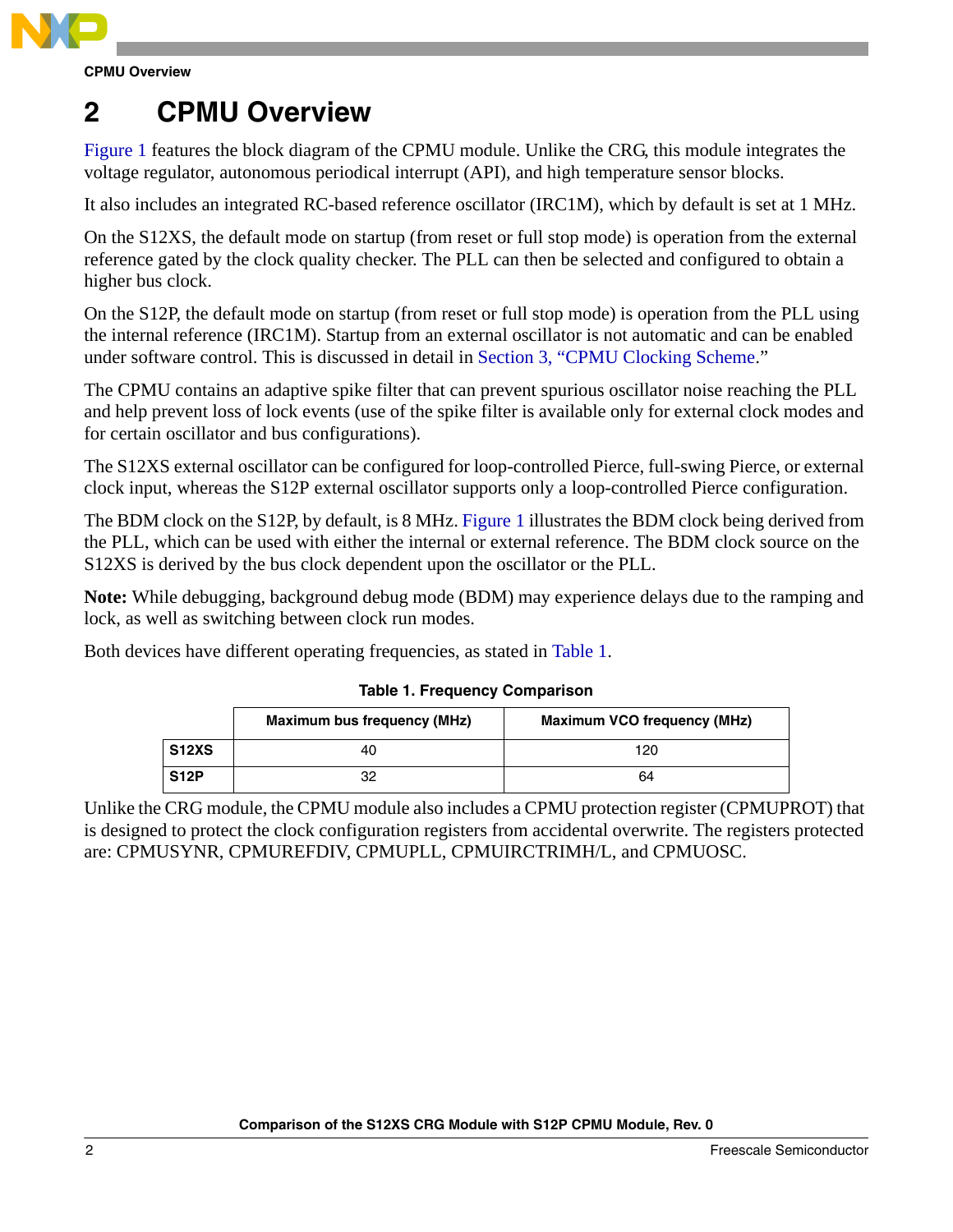

**CPMU Overview**

# <span id="page-1-0"></span>**2 CPMU Overview**

[Figure 1](#page-2-1) features the block diagram of the CPMU module. Unlike the CRG, this module integrates the voltage regulator, autonomous periodical interrupt (API), and high temperature sensor blocks.

It also includes an integrated RC-based reference oscillator (IRC1M), which by default is set at 1 MHz.

On the S12XS, the default mode on startup (from reset or full stop mode) is operation from the external reference gated by the clock quality checker. The PLL can then be selected and configured to obtain a higher bus clock.

On the S12P, the default mode on startup (from reset or full stop mode) is operation from the PLL using the internal reference (IRC1M). Startup from an external oscillator is not automatic and can be enabled under software control. This is discussed in detail in [Section 3, "CPMU Clocking Scheme](#page-3-1)."

The CPMU contains an adaptive spike filter that can prevent spurious oscillator noise reaching the PLL and help prevent loss of lock events (use of the spike filter is available only for external clock modes and for certain oscillator and bus configurations).

The S12XS external oscillator can be configured for loop-controlled Pierce, full-swing Pierce, or external clock input, whereas the S12P external oscillator supports only a loop-controlled Pierce configuration.

The BDM clock on the S12P, by default, is 8 MHz. [Figure 1](#page-2-1) illustrates the BDM clock being derived from the PLL, which can be used with either the internal or external reference. The BDM clock source on the S12XS is derived by the bus clock dependent upon the oscillator or the PLL.

**Note:** While debugging, background debug mode (BDM) may experience delays due to the ramping and lock, as well as switching between clock run modes.

<span id="page-1-1"></span>Both devices have different operating frequencies, as stated in [Table 1](#page-1-1).

| <b>Table 1. Frequency Comparison</b> |  |  |  |
|--------------------------------------|--|--|--|
|--------------------------------------|--|--|--|

|             | <b>Maximum bus frequency (MHz)</b> | <b>Maximum VCO frequency (MHz)</b> |
|-------------|------------------------------------|------------------------------------|
| S12XS       | 40                                 | 120                                |
| <b>S12P</b> | ຈດ                                 | 64                                 |

Unlike the CRG module, the CPMU module also includes a CPMU protection register (CPMUPROT) that is designed to protect the clock configuration registers from accidental overwrite. The registers protected are: CPMUSYNR, CPMUREFDIV, CPMUPLL, CPMUIRCTRIMH/L, and CPMUOSC.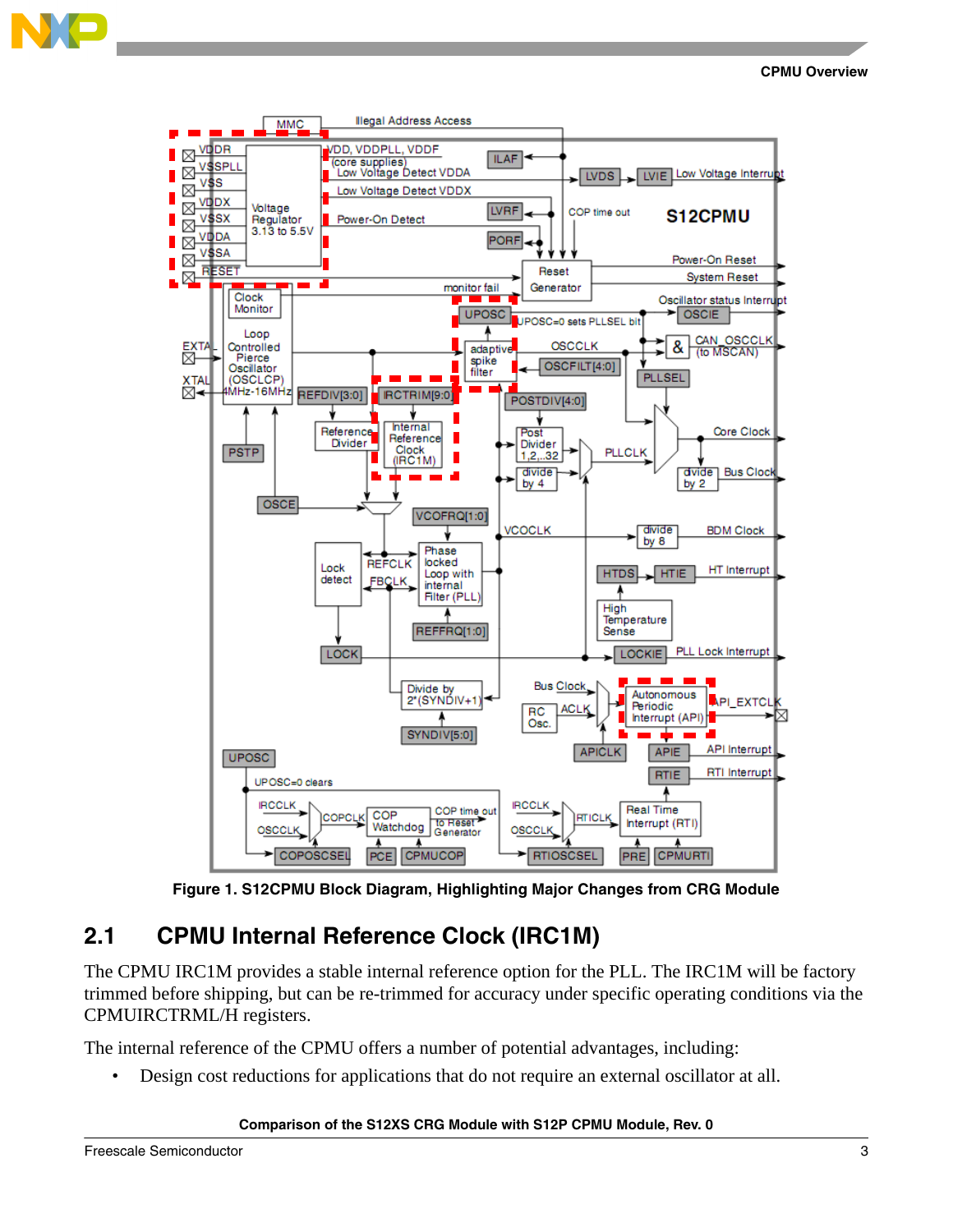**CPMU Overview**





**Figure 1. S12CPMU Block Diagram, Highlighting Major Changes from CRG Module**

### <span id="page-2-1"></span><span id="page-2-0"></span>**2.1 CPMU Internal Reference Clock (IRC1M)**

The CPMU IRC1M provides a stable internal reference option for the PLL. The IRC1M will be factory trimmed before shipping, but can be re-trimmed for accuracy under specific operating conditions via the CPMUIRCTRML/H registers.

The internal reference of the CPMU offers a number of potential advantages, including:

• Design cost reductions for applications that do not require an external oscillator at all.

### **Comparison of the S12XS CRG Module with S12P CPMU Module, Rev. 0**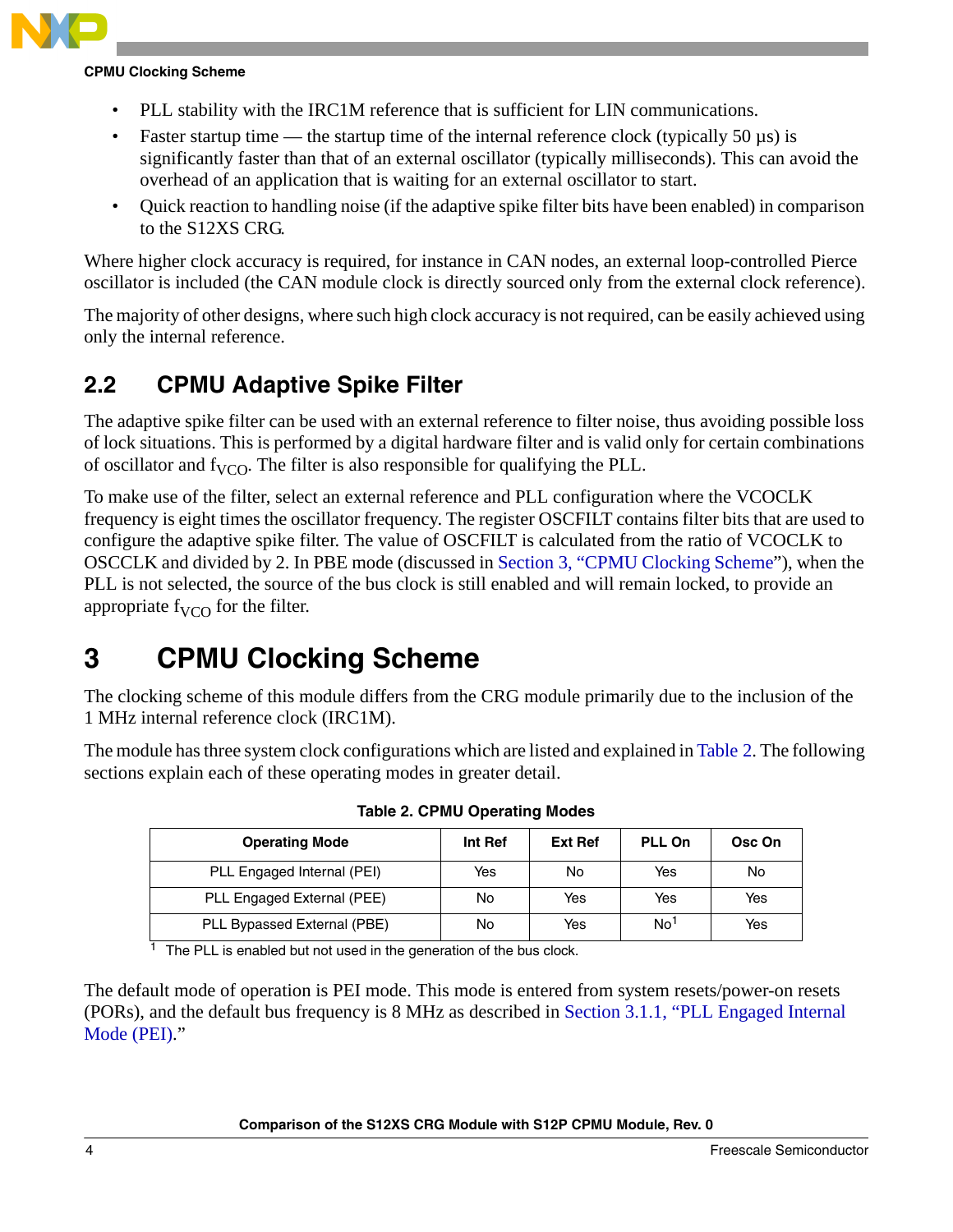

#### **CPMU Clocking Scheme**

- PLL stability with the IRC1M reference that is sufficient for LIN communications.
- Faster startup time the startup time of the internal reference clock (typically 50  $\mu$ s) is significantly faster than that of an external oscillator (typically milliseconds). This can avoid the overhead of an application that is waiting for an external oscillator to start.
- Quick reaction to handling noise (if the adaptive spike filter bits have been enabled) in comparison to the S12XS CRG.

Where higher clock accuracy is required, for instance in CAN nodes, an external loop-controlled Pierce oscillator is included (the CAN module clock is directly sourced only from the external clock reference).

The majority of other designs, where such high clock accuracy is not required, can be easily achieved using only the internal reference.

### <span id="page-3-0"></span>**2.2 CPMU Adaptive Spike Filter**

The adaptive spike filter can be used with an external reference to filter noise, thus avoiding possible loss of lock situations. This is performed by a digital hardware filter and is valid only for certain combinations of oscillator and  $f_{VCO}$ . The filter is also responsible for qualifying the PLL.

To make use of the filter, select an external reference and PLL configuration where the VCOCLK frequency is eight times the oscillator frequency. The register OSCFILT contains filter bits that are used to configure the adaptive spike filter. The value of OSCFILT is calculated from the ratio of VCOCLK to OSCCLK and divided by 2. In PBE mode (discussed in [Section 3, "CPMU Clocking Scheme](#page-3-1)"), when the PLL is not selected, the source of the bus clock is still enabled and will remain locked, to provide an appropriate  $f_{VCO}$  for the filter.

## <span id="page-3-1"></span>**3 CPMU Clocking Scheme**

The clocking scheme of this module differs from the CRG module primarily due to the inclusion of the 1 MHz internal reference clock (IRC1M).

<span id="page-3-2"></span>The module has three system clock configurations which are listed and explained in [Table 2](#page-3-2). The following sections explain each of these operating modes in greater detail.

| <b>Operating Mode</b>       | Int Ref | <b>Ext Ref</b> | PLL On | Osc On |
|-----------------------------|---------|----------------|--------|--------|
| PLL Engaged Internal (PEI)  | Yes     | No             | Yes    | No     |
| PLL Engaged External (PEE)  | No      | Yes            | Yes    | Yes    |
| PLL Bypassed External (PBE) | No      | Yes            | No     | Yes    |

**Table 2. CPMU Operating Modes**

 $1$  The PLL is enabled but not used in the generation of the bus clock.

The default mode of operation is PEI mode. This mode is entered from system resets/power-on resets (PORs), and the default bus frequency is 8 MHz as described in [Section 3.1.1, "PLL Engaged Internal](#page-5-0)  [Mode \(PEI\).](#page-5-0)"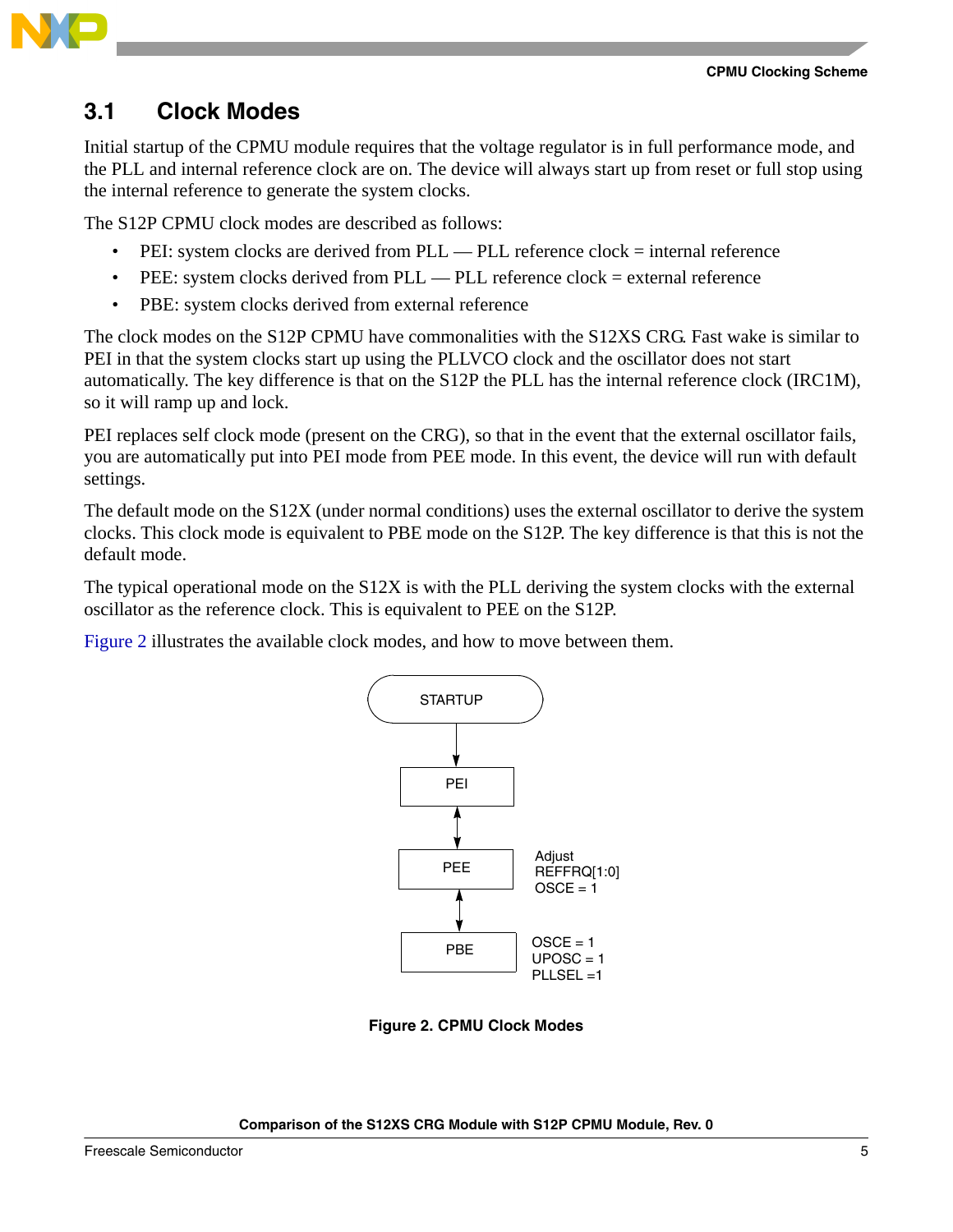



### <span id="page-4-0"></span>**3.1 Clock Modes**

Initial startup of the CPMU module requires that the voltage regulator is in full performance mode, and the PLL and internal reference clock are on. The device will always start up from reset or full stop using the internal reference to generate the system clocks.

The S12P CPMU clock modes are described as follows:

- PEI: system clocks are derived from PLL PLL reference clock = internal reference
- PEE: system clocks derived from PLL PLL reference clock = external reference
- PBE: system clocks derived from external reference

The clock modes on the S12P CPMU have commonalities with the S12XS CRG. Fast wake is similar to PEI in that the system clocks start up using the PLLVCO clock and the oscillator does not start automatically. The key difference is that on the S12P the PLL has the internal reference clock (IRC1M), so it will ramp up and lock.

PEI replaces self clock mode (present on the CRG), so that in the event that the external oscillator fails, you are automatically put into PEI mode from PEE mode. In this event, the device will run with default settings.

The default mode on the S12X (under normal conditions) uses the external oscillator to derive the system clocks. This clock mode is equivalent to PBE mode on the S12P. The key difference is that this is not the default mode.

The typical operational mode on the S12X is with the PLL deriving the system clocks with the external oscillator as the reference clock. This is equivalent to PEE on the S12P.

[Figure 2](#page-4-1) illustrates the available clock modes, and how to move between them.



<span id="page-4-1"></span>**Figure 2. CPMU Clock Modes**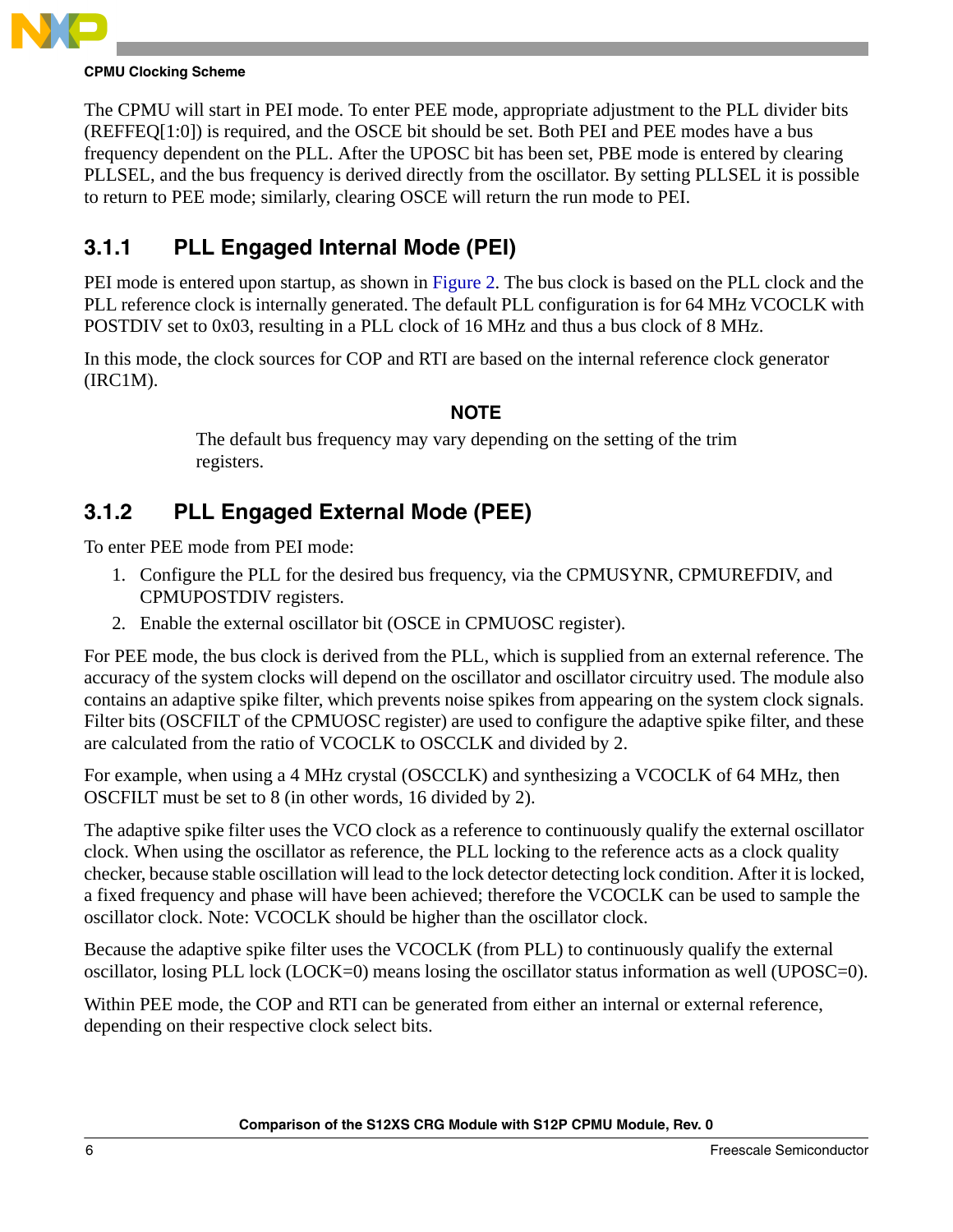

#### **CPMU Clocking Scheme**

The CPMU will start in PEI mode. To enter PEE mode, appropriate adjustment to the PLL divider bits (REFFEQ[1:0]) is required, and the OSCE bit should be set. Both PEI and PEE modes have a bus frequency dependent on the PLL. After the UPOSC bit has been set, PBE mode is entered by clearing PLLSEL, and the bus frequency is derived directly from the oscillator. By setting PLLSEL it is possible to return to PEE mode; similarly, clearing OSCE will return the run mode to PEI.

### <span id="page-5-0"></span>**3.1.1 PLL Engaged Internal Mode (PEI)**

PEI mode is entered upon startup, as shown in [Figure 2](#page-4-1). The bus clock is based on the PLL clock and the PLL reference clock is internally generated. The default PLL configuration is for 64 MHz VCOCLK with POSTDIV set to 0x03, resulting in a PLL clock of 16 MHz and thus a bus clock of 8 MHz.

In this mode, the clock sources for COP and RTI are based on the internal reference clock generator (IRC1M).

### **NOTE**

The default bus frequency may vary depending on the setting of the trim registers.

### <span id="page-5-1"></span>**3.1.2 PLL Engaged External Mode (PEE)**

To enter PEE mode from PEI mode:

- 1. Configure the PLL for the desired bus frequency, via the CPMUSYNR, CPMUREFDIV, and CPMUPOSTDIV registers.
- 2. Enable the external oscillator bit (OSCE in CPMUOSC register).

For PEE mode, the bus clock is derived from the PLL, which is supplied from an external reference. The accuracy of the system clocks will depend on the oscillator and oscillator circuitry used. The module also contains an adaptive spike filter, which prevents noise spikes from appearing on the system clock signals. Filter bits (OSCFILT of the CPMUOSC register) are used to configure the adaptive spike filter, and these are calculated from the ratio of VCOCLK to OSCCLK and divided by 2.

For example, when using a 4 MHz crystal (OSCCLK) and synthesizing a VCOCLK of 64 MHz, then OSCFILT must be set to 8 (in other words, 16 divided by 2).

The adaptive spike filter uses the VCO clock as a reference to continuously qualify the external oscillator clock. When using the oscillator as reference, the PLL locking to the reference acts as a clock quality checker, because stable oscillation will lead to the lock detector detecting lock condition. After it is locked, a fixed frequency and phase will have been achieved; therefore the VCOCLK can be used to sample the oscillator clock. Note: VCOCLK should be higher than the oscillator clock.

Because the adaptive spike filter uses the VCOCLK (from PLL) to continuously qualify the external oscillator, losing PLL lock (LOCK=0) means losing the oscillator status information as well (UPOSC=0).

Within PEE mode, the COP and RTI can be generated from either an internal or external reference, depending on their respective clock select bits.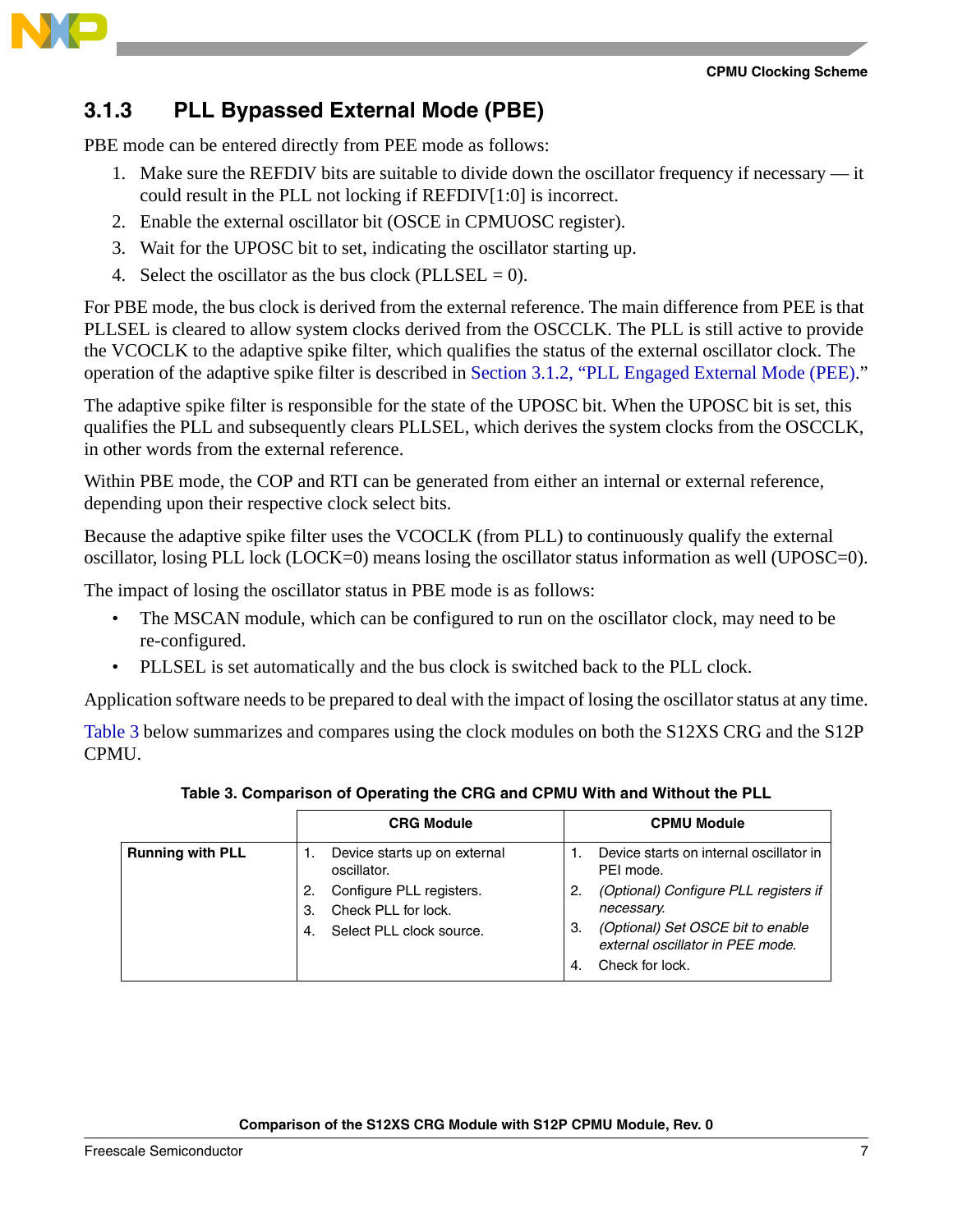



### **3.1.3 PLL Bypassed External Mode (PBE)**

PBE mode can be entered directly from PEE mode as follows:

- 1. Make sure the REFDIV bits are suitable to divide down the oscillator frequency if necessary it could result in the PLL not locking if REFDIV[1:0] is incorrect.
- 2. Enable the external oscillator bit (OSCE in CPMUOSC register).
- 3. Wait for the UPOSC bit to set, indicating the oscillator starting up.
- 4. Select the oscillator as the bus clock (PLLSEL  $= 0$ ).

For PBE mode, the bus clock is derived from the external reference. The main difference from PEE is that PLLSEL is cleared to allow system clocks derived from the OSCCLK. The PLL is still active to provide the VCOCLK to the adaptive spike filter, which qualifies the status of the external oscillator clock. The operation of the adaptive spike filter is described in [Section 3.1.2, "PLL Engaged External Mode \(PEE\).](#page-5-1)"

The adaptive spike filter is responsible for the state of the UPOSC bit. When the UPOSC bit is set, this qualifies the PLL and subsequently clears PLLSEL, which derives the system clocks from the OSCCLK, in other words from the external reference.

Within PBE mode, the COP and RTI can be generated from either an internal or external reference, depending upon their respective clock select bits.

Because the adaptive spike filter uses the VCOCLK (from PLL) to continuously qualify the external oscillator, losing PLL lock (LOCK=0) means losing the oscillator status information as well (UPOSC=0).

The impact of losing the oscillator status in PBE mode is as follows:

- The MSCAN module, which can be configured to run on the oscillator clock, may need to be re-configured.
- PLLSEL is set automatically and the bus clock is switched back to the PLL clock.

Application software needs to be prepared to deal with the impact of losing the oscillator status at any time.

[Table 3](#page-6-0) below summarizes and compares using the clock modules on both the S12XS CRG and the S12P CPMU.

<span id="page-6-0"></span>

|                         | <b>CRG Module</b>                                                                             | <b>CPMU Module</b>                                                                                                                                                            |
|-------------------------|-----------------------------------------------------------------------------------------------|-------------------------------------------------------------------------------------------------------------------------------------------------------------------------------|
| <b>Running with PLL</b> | Device starts up on external<br>oscillator.                                                   | Device starts on internal oscillator in<br>PEI mode.                                                                                                                          |
|                         | Configure PLL registers.<br>2.<br>Check PLL for lock.<br>З.<br>Select PLL clock source.<br>4. | (Optional) Configure PLL registers if<br>2.<br>necessary.<br>(Optional) Set OSCE bit to enable<br>З.<br>external oscillator in PEE mode.<br>Check for lock.<br>$\overline{4}$ |

**Table 3. Comparison of Operating the CRG and CPMU With and Without the PLL**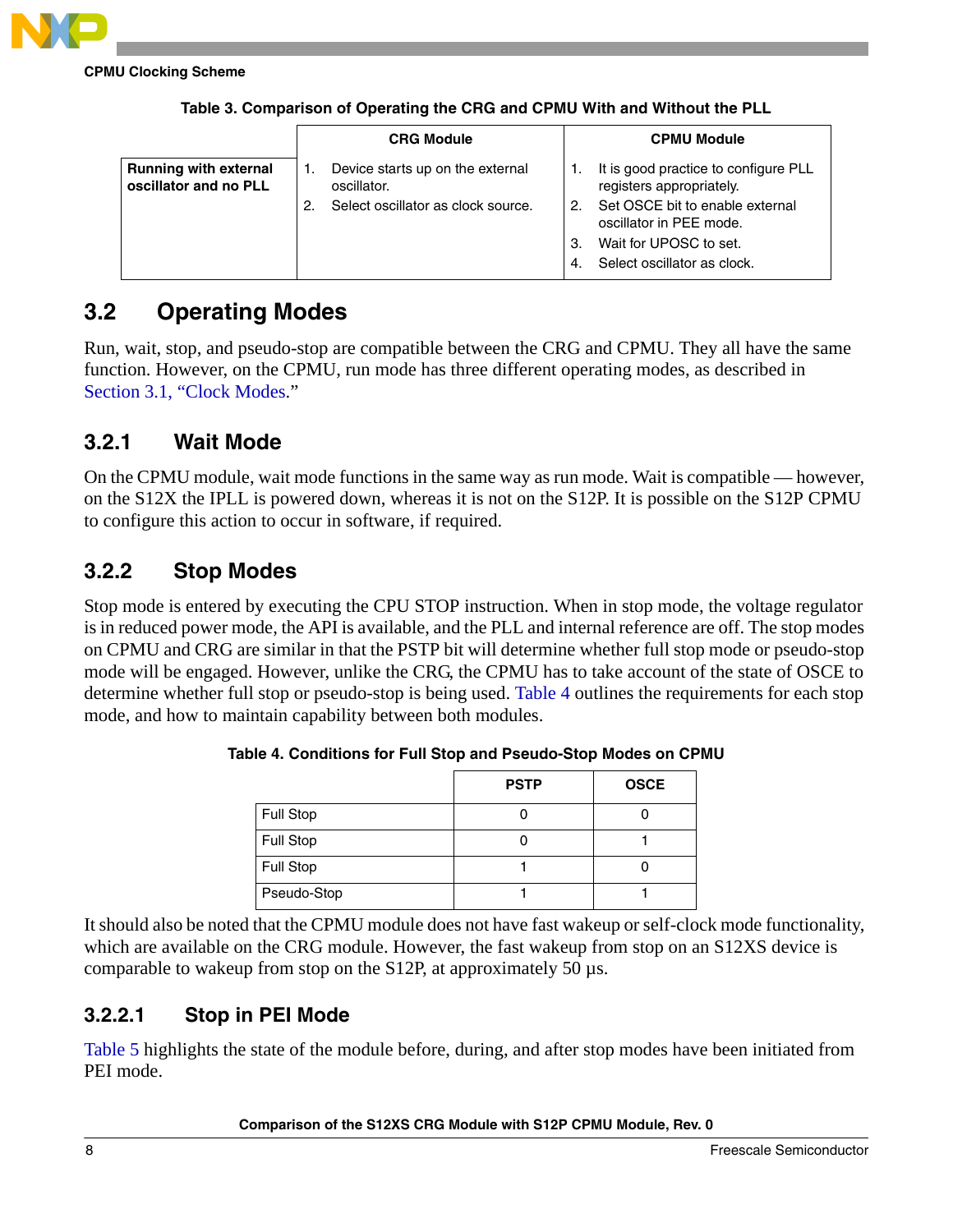

|                                                       | <b>CRG Module</b>                                                                           | <b>CPMU Module</b>                                                                                                                                                                                          |
|-------------------------------------------------------|---------------------------------------------------------------------------------------------|-------------------------------------------------------------------------------------------------------------------------------------------------------------------------------------------------------------|
| <b>Running with external</b><br>oscillator and no PLL | Device starts up on the external<br>oscillator.<br>Select oscillator as clock source.<br>2. | It is good practice to configure PLL<br>registers appropriately.<br>Set OSCE bit to enable external<br>2.<br>oscillator in PEE mode.<br>Wait for UPOSC to set.<br>-3.<br>Select oscillator as clock.<br>-4. |

**Table 3. Comparison of Operating the CRG and CPMU With and Without the PLL**

### <span id="page-7-0"></span>**3.2 Operating Modes**

Run, wait, stop, and pseudo-stop are compatible between the CRG and CPMU. They all have the same function. However, on the CPMU, run mode has three different operating modes, as described in [Section 3.1, "Clock Modes.](#page-4-0)"

### **3.2.1 Wait Mode**

On the CPMU module, wait mode functions in the same way as run mode. Wait is compatible — however, on the S12X the IPLL is powered down, whereas it is not on the S12P. It is possible on the S12P CPMU to configure this action to occur in software, if required.

### **3.2.2 Stop Modes**

Stop mode is entered by executing the CPU STOP instruction. When in stop mode, the voltage regulator is in reduced power mode, the API is available, and the PLL and internal reference are off. The stop modes on CPMU and CRG are similar in that the PSTP bit will determine whether full stop mode or pseudo-stop mode will be engaged. However, unlike the CRG, the CPMU has to take account of the state of OSCE to determine whether full stop or pseudo-stop is being used. [Table 4](#page-7-1) outlines the requirements for each stop mode, and how to maintain capability between both modules.

|                  | <b>PSTP</b> | <b>OSCE</b> |
|------------------|-------------|-------------|
| <b>Full Stop</b> |             |             |
| Full Stop        |             |             |
| Full Stop        |             |             |
| Pseudo-Stop      |             |             |

<span id="page-7-1"></span>**Table 4. Conditions for Full Stop and Pseudo-Stop Modes on CPMU**

It should also be noted that the CPMU module does not have fast wakeup or self-clock mode functionality, which are available on the CRG module. However, the fast wakeup from stop on an S12XS device is comparable to wakeup from stop on the S12P, at approximately 50 µs.

### **3.2.2.1 Stop in PEI Mode**

[Table 5](#page-8-0) highlights the state of the module before, during, and after stop modes have been initiated from PEI mode.

#### **Comparison of the S12XS CRG Module with S12P CPMU Module, Rev. 0**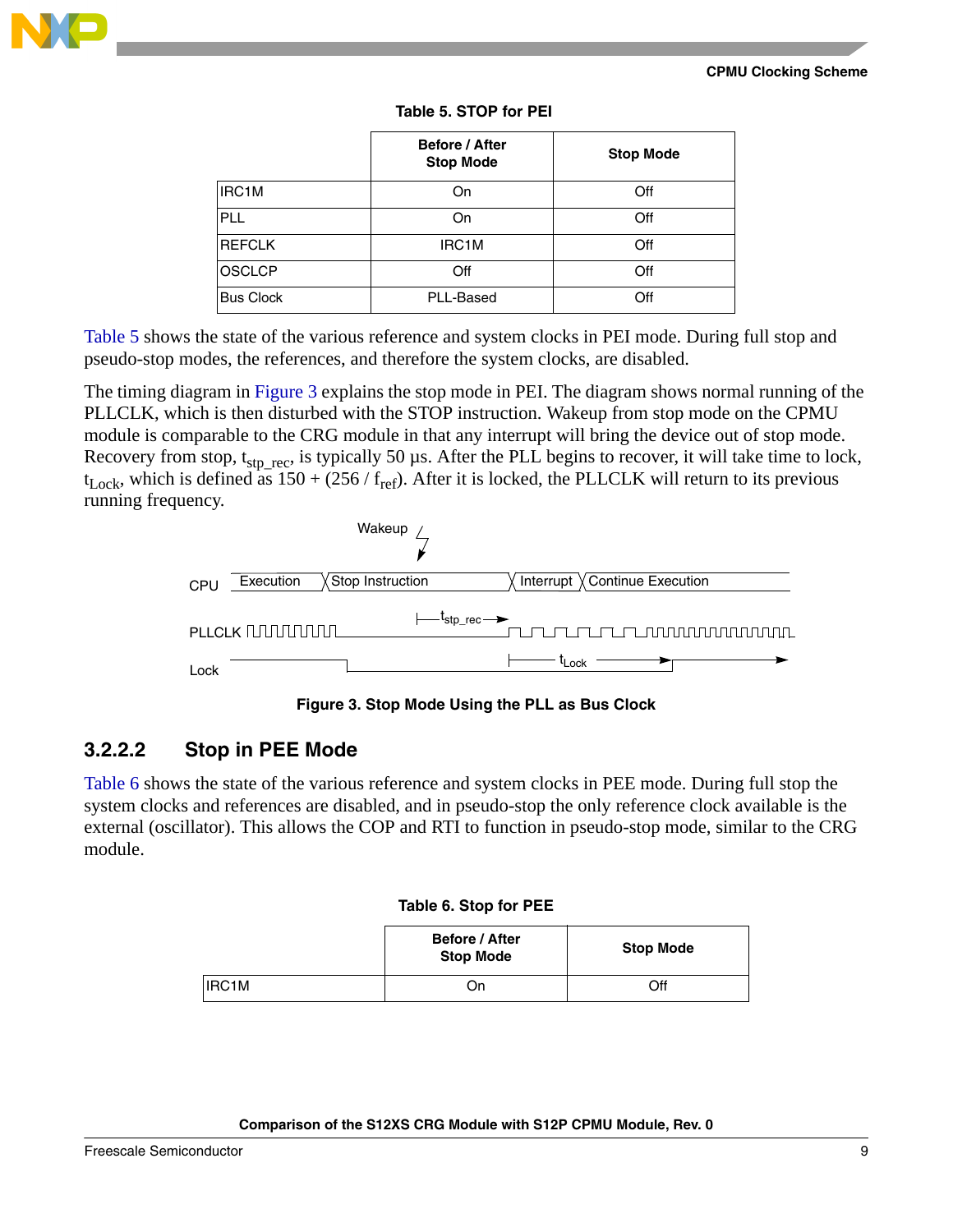

<span id="page-8-0"></span>

|                  | <b>Before / After</b><br><b>Stop Mode</b> | <b>Stop Mode</b> |
|------------------|-------------------------------------------|------------------|
| IRC1M            | On                                        | Off              |
| <b>PLL</b>       | On                                        | Off              |
| <b>REFCLK</b>    | IRC1M                                     | Off              |
| <b>OSCLCP</b>    | Off                                       | Off              |
| <b>Bus Clock</b> | PLL-Based                                 | Off              |

|  | Table 5. STOP for PEI |  |
|--|-----------------------|--|
|  |                       |  |

[Table 5](#page-8-0) shows the state of the various reference and system clocks in PEI mode. During full stop and pseudo-stop modes, the references, and therefore the system clocks, are disabled.

The timing diagram in [Figure 3](#page-8-1) explains the stop mode in PEI. The diagram shows normal running of the PLLCLK, which is then disturbed with the STOP instruction. Wakeup from stop mode on the CPMU module is comparable to the CRG module in that any interrupt will bring the device out of stop mode. Recovery from stop,  $t_{stp\_rec}$ , is typically 50  $\mu$ s. After the PLL begins to recover, it will take time to lock,  $t_{Lock}$ , which is defined as  $150 + (256 / f_{ref})$ . After it is locked, the PLLCLK will return to its previous running frequency.



**Figure 3. Stop Mode Using the PLL as Bus Clock**

### <span id="page-8-1"></span>**3.2.2.2 Stop in PEE Mode**

[Table 6](#page-8-2) shows the state of the various reference and system clocks in PEE mode. During full stop the system clocks and references are disabled, and in pseudo-stop the only reference clock available is the external (oscillator). This allows the COP and RTI to function in pseudo-stop mode, similar to the CRG module.

|  | Table 6. Stop for PEE |  |  |  |  |
|--|-----------------------|--|--|--|--|
|--|-----------------------|--|--|--|--|

<span id="page-8-2"></span>

|              | <b>Before / After</b><br><b>Stop Mode</b> | <b>Stop Mode</b> |
|--------------|-------------------------------------------|------------------|
| <b>IRC1M</b> | υn                                        | Off              |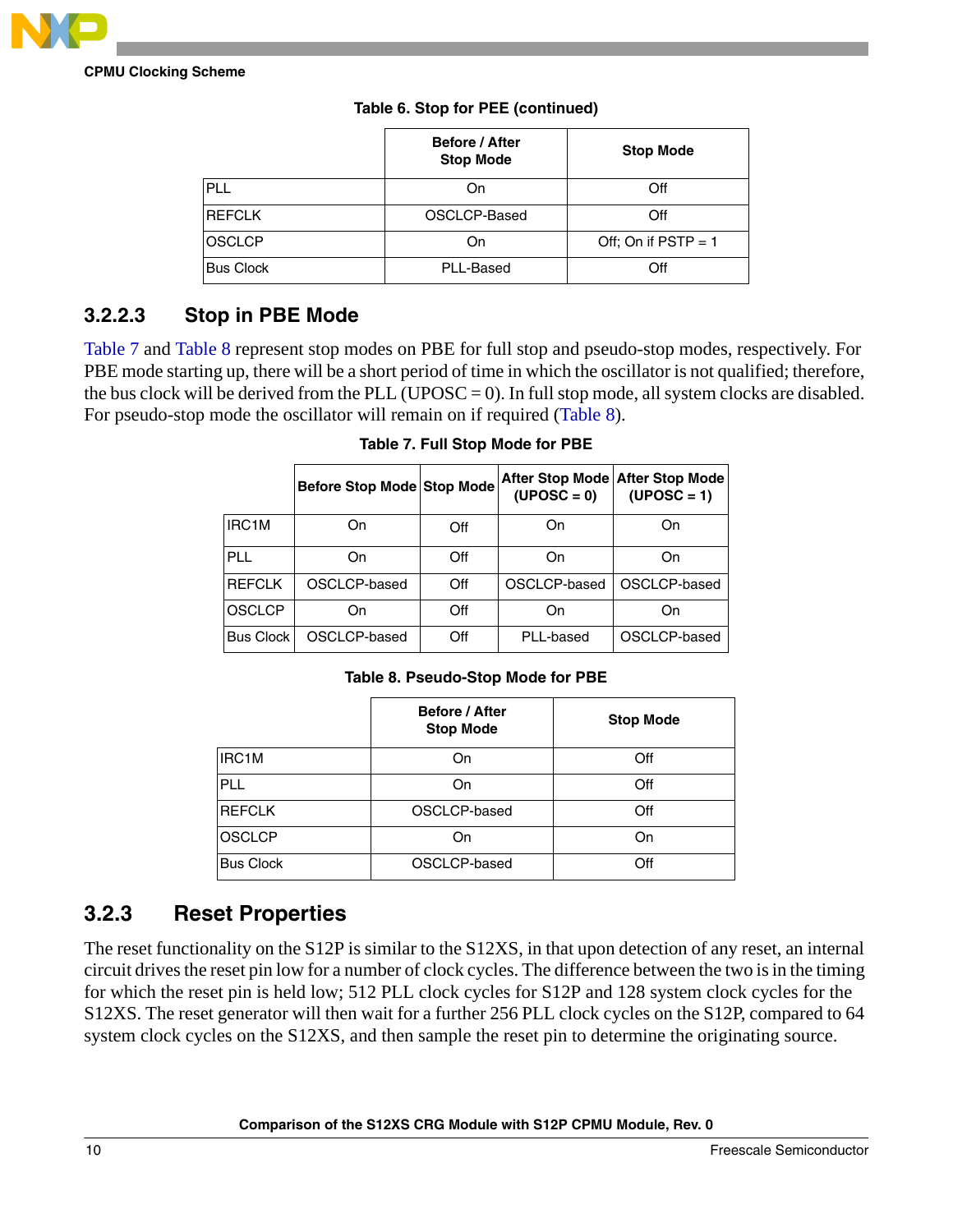

**CPMU Clocking Scheme**

|                  | <b>Before / After</b><br><b>Stop Mode</b> | <b>Stop Mode</b>      |
|------------------|-------------------------------------------|-----------------------|
| PLL              | On                                        | Off                   |
| <b>REFCLK</b>    | OSCLCP-Based                              | Off                   |
| <b>OSCLCP</b>    | On                                        | Off; On if $PSTP = 1$ |
| <b>Bus Clock</b> | PLL-Based                                 | Off                   |

#### **Table 6. Stop for PEE (continued)**

### **3.2.2.3 Stop in PBE Mode**

<span id="page-9-0"></span>[Table 7](#page-9-0) and [Table 8](#page-9-1) represent stop modes on PBE for full stop and pseudo-stop modes, respectively. For PBE mode starting up, there will be a short period of time in which the oscillator is not qualified; therefore, the bus clock will be derived from the PLL (UPOSC = 0). In full stop mode, all system clocks are disabled. For pseudo-stop mode the oscillator will remain on if required ([Table 8](#page-9-1)).

**Table 7. Full Stop Mode for PBE**

|                  | Before Stop Mode Stop Mode |     | After Stop Mode After Stop Mode<br>$(UPOSC = 0)$ | $(UPOSC = 1)$ |
|------------------|----------------------------|-----|--------------------------------------------------|---------------|
| IRC1M            | On                         | Off | On                                               | On            |
| <b>PLL</b>       | On                         | Off | On                                               | On            |
| <b>REFCLK</b>    | OSCLCP-based               | Off | OSCLCP-based                                     | OSCLCP-based  |
| <b>OSCLCP</b>    | On                         | Off | On                                               | On            |
| <b>Bus Clock</b> | OSCLCP-based               | Off | PLL-based                                        | OSCLCP-based  |

**Table 8. Pseudo-Stop Mode for PBE**

<span id="page-9-1"></span>

|                  | <b>Before / After</b><br><b>Stop Mode</b> | <b>Stop Mode</b> |
|------------------|-------------------------------------------|------------------|
| IRC1M            | On                                        | Off              |
| <b>PLL</b>       | On                                        | Off              |
| <b>REFCLK</b>    | OSCLCP-based                              | Off              |
| <b>OSCLCP</b>    | On                                        | On               |
| <b>Bus Clock</b> | OSCLCP-based                              | Off              |

### **3.2.3 Reset Properties**

The reset functionality on the S12P is similar to the S12XS, in that upon detection of any reset, an internal circuit drives the reset pin low for a number of clock cycles. The difference between the two is in the timing for which the reset pin is held low; 512 PLL clock cycles for S12P and 128 system clock cycles for the S12XS. The reset generator will then wait for a further 256 PLL clock cycles on the S12P, compared to 64 system clock cycles on the S12XS, and then sample the reset pin to determine the originating source.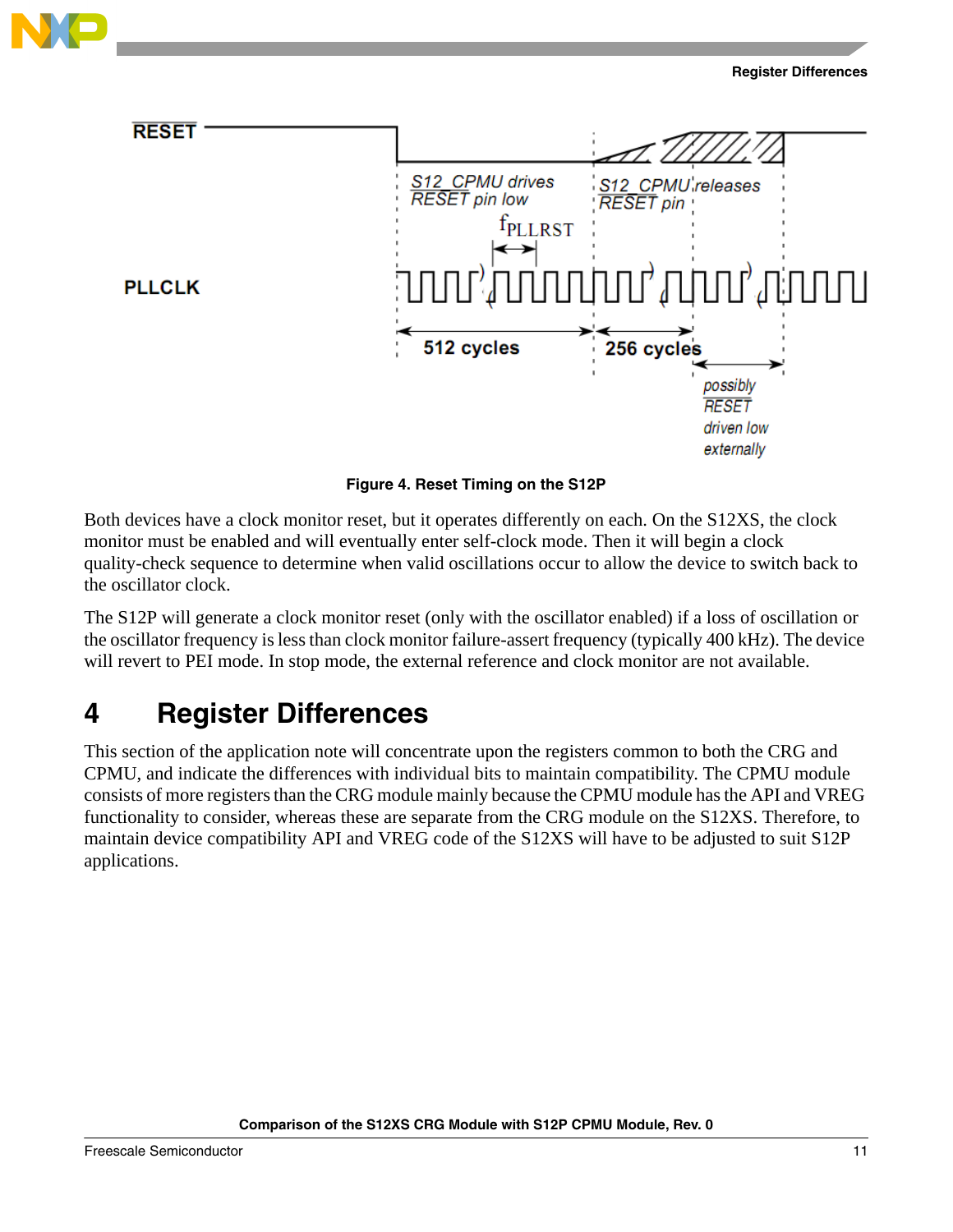

**Register Differences**



**Figure 4. Reset Timing on the S12P**

Both devices have a clock monitor reset, but it operates differently on each. On the S12XS, the clock monitor must be enabled and will eventually enter self-clock mode. Then it will begin a clock quality-check sequence to determine when valid oscillations occur to allow the device to switch back to the oscillator clock.

The S12P will generate a clock monitor reset (only with the oscillator enabled) if a loss of oscillation or the oscillator frequency is less than clock monitor failure-assert frequency (typically 400 kHz). The device will revert to PEI mode. In stop mode, the external reference and clock monitor are not available.

# <span id="page-10-0"></span>**4 Register Differences**

This section of the application note will concentrate upon the registers common to both the CRG and CPMU, and indicate the differences with individual bits to maintain compatibility. The CPMU module consists of more registers than the CRG module mainly because the CPMU module has the API and VREG functionality to consider, whereas these are separate from the CRG module on the S12XS. Therefore, to maintain device compatibility API and VREG code of the S12XS will have to be adjusted to suit S12P applications.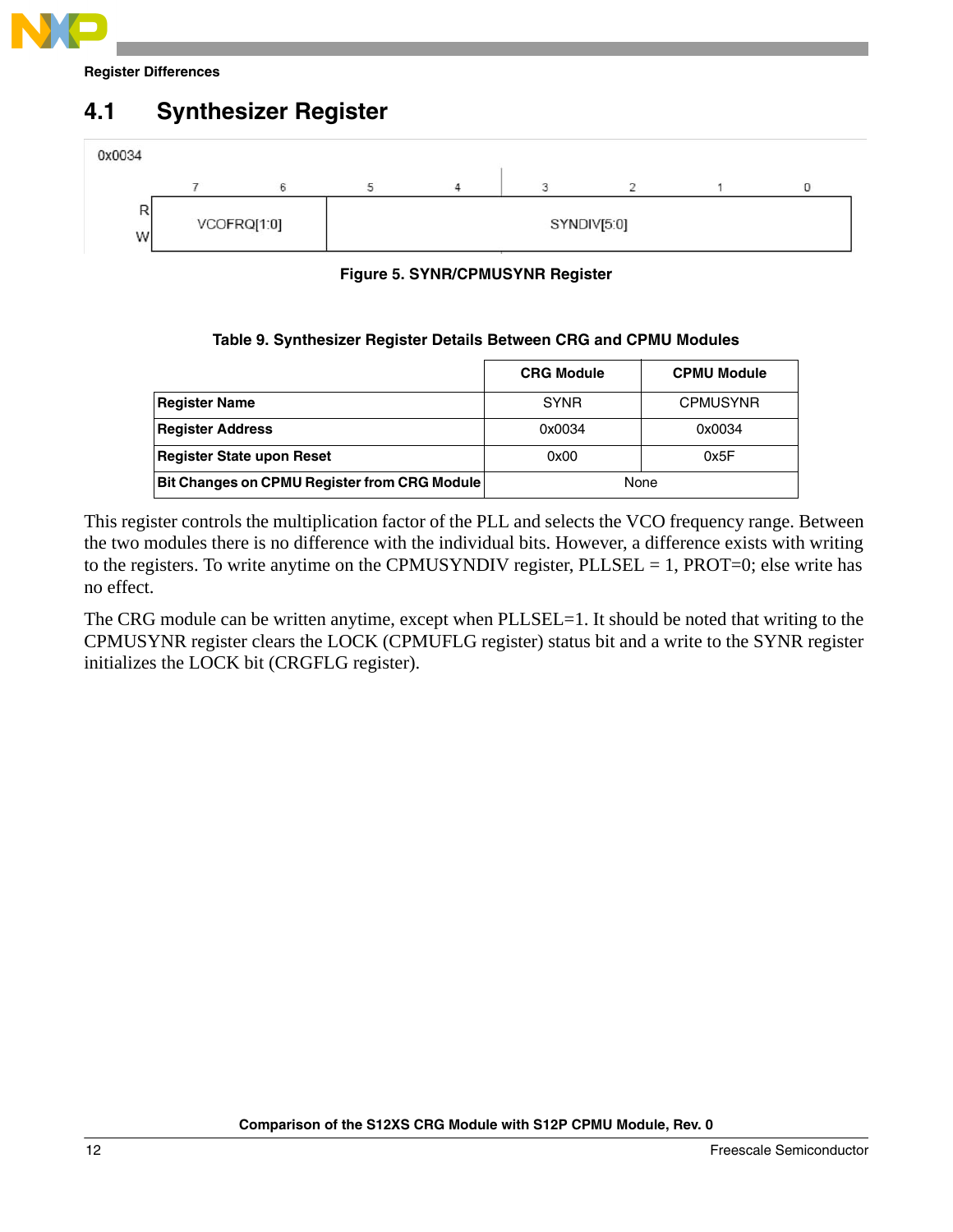

### <span id="page-11-0"></span>**4.1 Synthesizer Register**





# **Table 9. Synthesizer Register Details Between CRG and CPMU Modules**

|                                                     | <b>CRG Module</b> | <b>CPMU Module</b> |
|-----------------------------------------------------|-------------------|--------------------|
| <b>Register Name</b>                                | <b>SYNR</b>       | <b>CPMUSYNR</b>    |
| <b>Register Address</b>                             | 0x0034            | 0x0034             |
| <b>Register State upon Reset</b>                    | 0x00              | 0x5F               |
| <b>Bit Changes on CPMU Register from CRG Module</b> | None              |                    |

This register controls the multiplication factor of the PLL and selects the VCO frequency range. Between the two modules there is no difference with the individual bits. However, a difference exists with writing to the registers. To write anytime on the CPMUSYNDIV register, PLLSEL = 1, PROT=0; else write has no effect.

The CRG module can be written anytime, except when PLLSEL=1. It should be noted that writing to the CPMUSYNR register clears the LOCK (CPMUFLG register) status bit and a write to the SYNR register initializes the LOCK bit (CRGFLG register).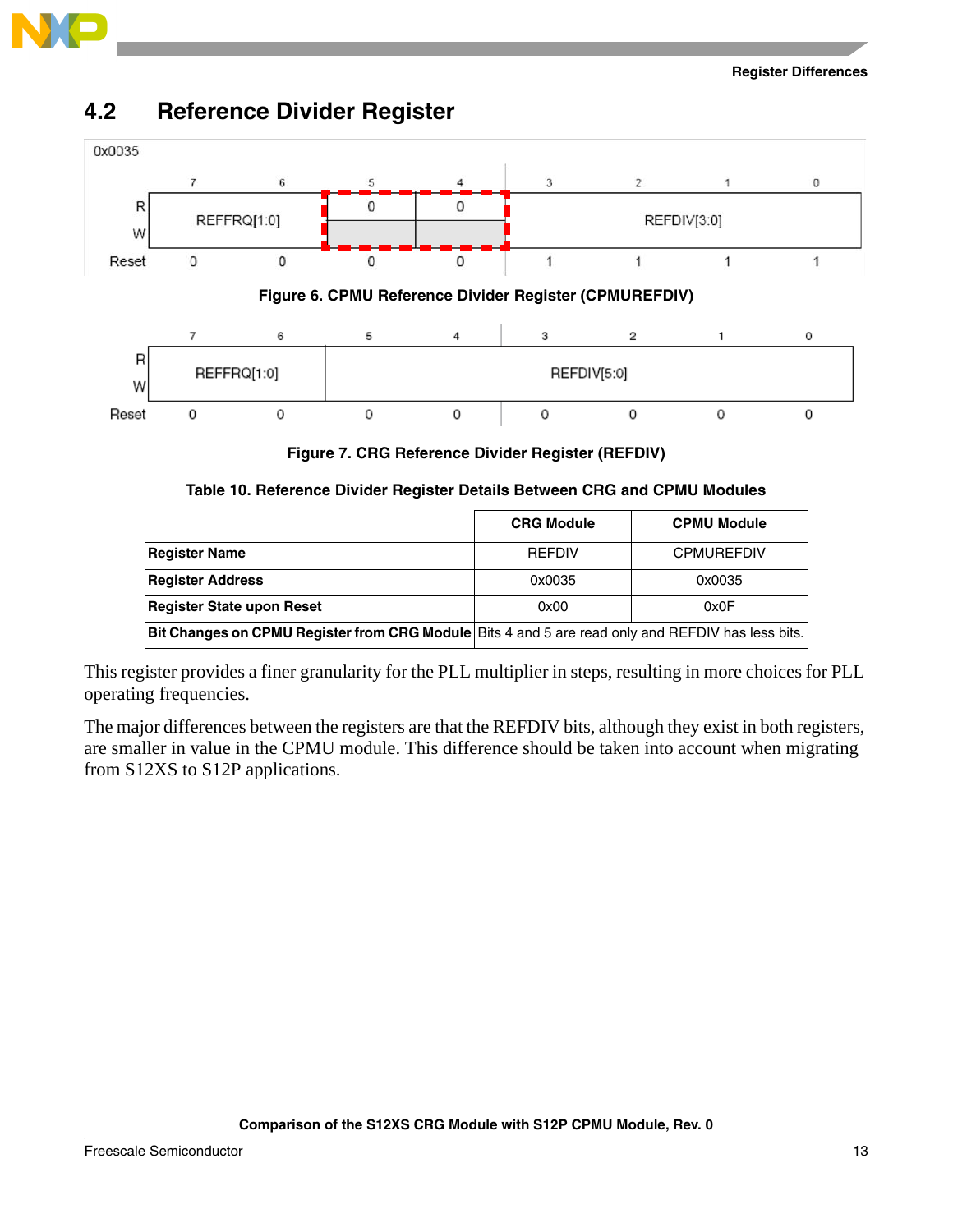



### <span id="page-12-0"></span>**4.2 Reference Divider Register**

**Figure 7. CRG Reference Divider Register (REFDIV)**

#### **Table 10. Reference Divider Register Details Between CRG and CPMU Modules**

|                                                                                                   | <b>CRG Module</b> | <b>CPMU Module</b> |
|---------------------------------------------------------------------------------------------------|-------------------|--------------------|
| <b>Register Name</b>                                                                              | <b>REFDIV</b>     | <b>CPMUREFDIV</b>  |
| <b>Register Address</b>                                                                           | 0x0035            | 0x0035             |
| Register State upon Reset                                                                         | 0x00              | 0x0F               |
| Bit Changes on CPMU Register from CRG Module Bits 4 and 5 are read only and REFDIV has less bits. |                   |                    |

This register provides a finer granularity for the PLL multiplier in steps, resulting in more choices for PLL operating frequencies.

The major differences between the registers are that the REFDIV bits, although they exist in both registers, are smaller in value in the CPMU module. This difference should be taken into account when migrating from S12XS to S12P applications.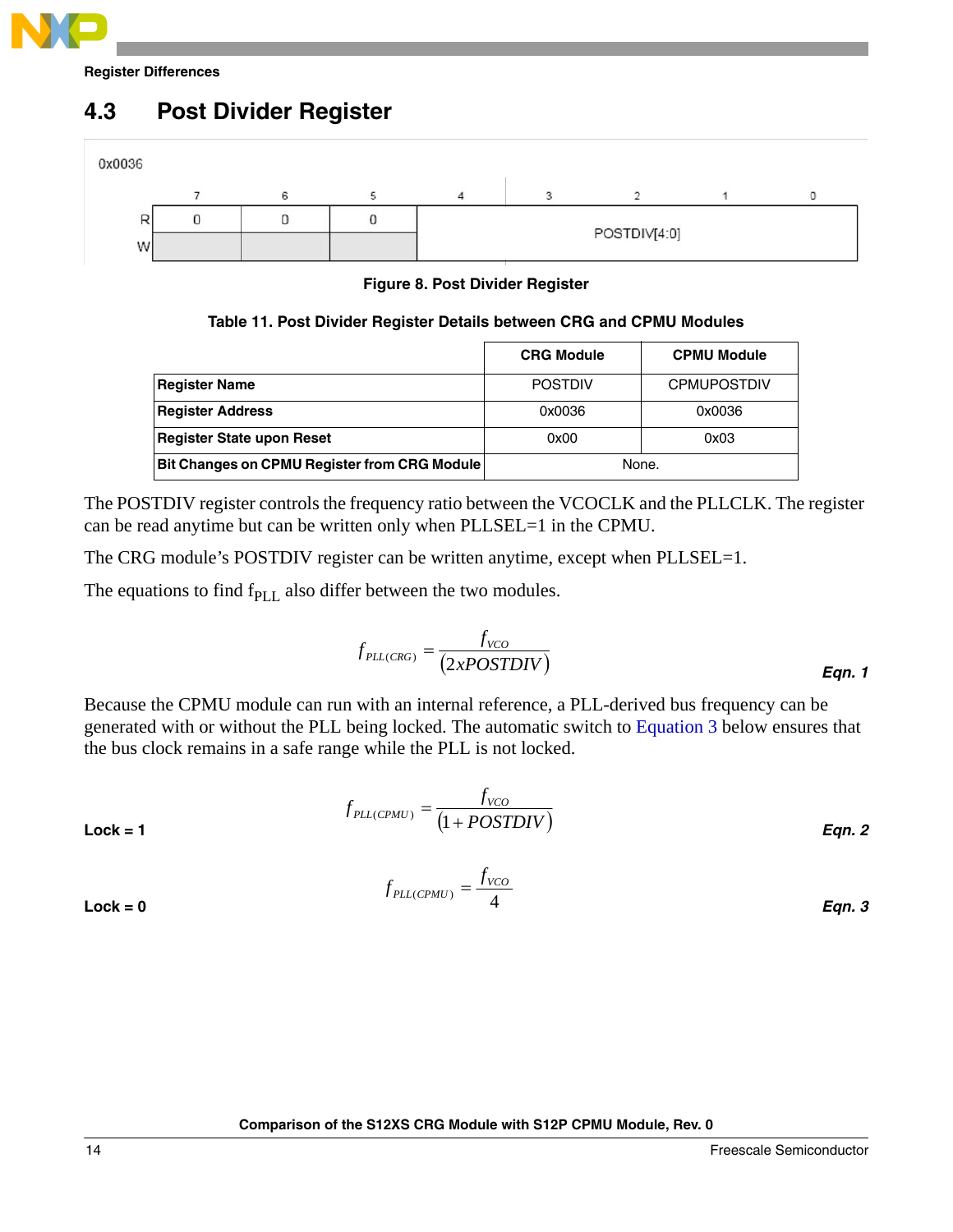

### <span id="page-13-0"></span>**4.3 Post Divider Register**



**Figure 8. Post Divider Register**

| Table 11. Post Divider Register Details between CRG and CPMU Modules |  |  |  |
|----------------------------------------------------------------------|--|--|--|
|                                                                      |  |  |  |

|                                                     | <b>CRG Module</b> | <b>CPMU Module</b> |
|-----------------------------------------------------|-------------------|--------------------|
| <b>Register Name</b>                                | <b>POSTDIV</b>    | <b>CPMUPOSTDIV</b> |
| <b>Register Address</b>                             | 0x0036            | 0x0036             |
| <b>Register State upon Reset</b>                    | 0x00              | 0x03               |
| <b>Bit Changes on CPMU Register from CRG Module</b> | None.             |                    |

The POSTDIV register controls the frequency ratio between the VCOCLK and the PLLCLK. The register can be read anytime but can be written only when PLLSEL=1 in the CPMU.

The CRG module's POSTDIV register can be written anytime, except when PLLSEL=1.

The equations to find f<sub>PLL</sub> also differ between the two modules.

$$
f_{\text{PLL(CRG)}} = \frac{f_{\text{VCO}}}{(2x\text{POSTDIV})}
$$
Eqn. 1

Because the CPMU module can run with an internal reference, a PLL-derived bus frequency can be generated with or without the PLL being locked. The automatic switch to [Equation 3](#page-13-1) below ensures that the bus clock remains in a safe range while the PLL is not locked.

$$
f_{\text{PLL}(\text{CPMU})} = \frac{f_{\text{VCO}}}{\left(1 + \text{POSTDIV}\right)}
$$
Eqn. 2

<span id="page-13-1"></span>**Lock = 0** *Eqn. 3*  $f_{PLL(CPMU)} = \frac{f_{VCO}}{4}$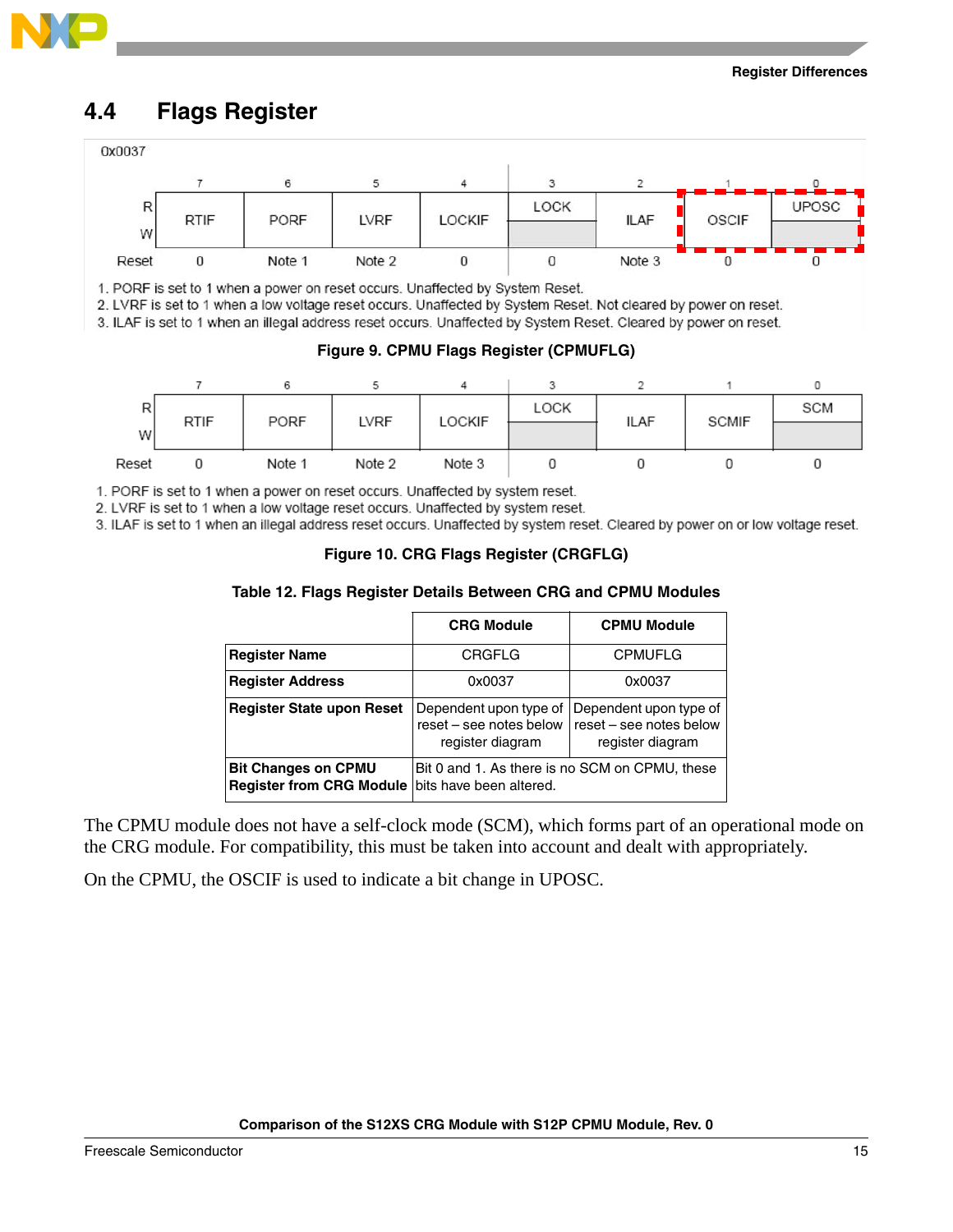

### <span id="page-14-0"></span>**4.4 Flags Register**



1. PORF is set to 1 when a power on reset occurs. Unaffected by System Reset.

2. LVRF is set to 1 when a low voltage reset occurs. Unaffected by System Reset. Not cleared by power on reset.

3. ILAF is set to 1 when an illegal address reset occurs. Unaffected by System Reset. Cleared by power on reset.

#### **Figure 9. CPMU Flags Register (CPMUFLG)**

|       | <b>RTIF</b> | PORF   | LVRF   | <b>LOCKIF</b> | <b>LOCK</b> | ILAF | <b>SCMIF</b> | SCM |
|-------|-------------|--------|--------|---------------|-------------|------|--------------|-----|
| W     |             |        |        |               |             |      |              |     |
| Reset |             | Note 1 | Note 2 | Note 3        |             |      |              |     |

1. PORF is set to 1 when a power on reset occurs. Unaffected by system reset.

2. LVRF is set to 1 when a low voltage reset occurs. Unaffected by system reset.

3. ILAF is set to 1 when an illegal address reset occurs. Unaffected by system reset. Cleared by power on or low voltage reset.

#### **Figure 10. CRG Flags Register (CRGFLG)**

#### **Table 12. Flags Register Details Between CRG and CPMU Modules**

|                                                                                | <b>CRG Module</b>                                                                                                                              | <b>CPMU Module</b> |  |  |
|--------------------------------------------------------------------------------|------------------------------------------------------------------------------------------------------------------------------------------------|--------------------|--|--|
| <b>Register Name</b>                                                           | <b>CRGFLG</b>                                                                                                                                  | <b>CPMUFLG</b>     |  |  |
| <b>Register Address</b>                                                        | 0x0037                                                                                                                                         | 0x0037             |  |  |
| <b>Register State upon Reset</b>                                               | Dependent upon type of<br>Dependent upon type of<br>reset - see notes below<br>reset - see notes below<br>register diagram<br>register diagram |                    |  |  |
| <b>Bit Changes on CPMU</b><br>Register from CRG Module bits have been altered. | Bit 0 and 1. As there is no SCM on CPMU, these                                                                                                 |                    |  |  |

The CPMU module does not have a self-clock mode (SCM), which forms part of an operational mode on the CRG module. For compatibility, this must be taken into account and dealt with appropriately.

On the CPMU, the OSCIF is used to indicate a bit change in UPOSC.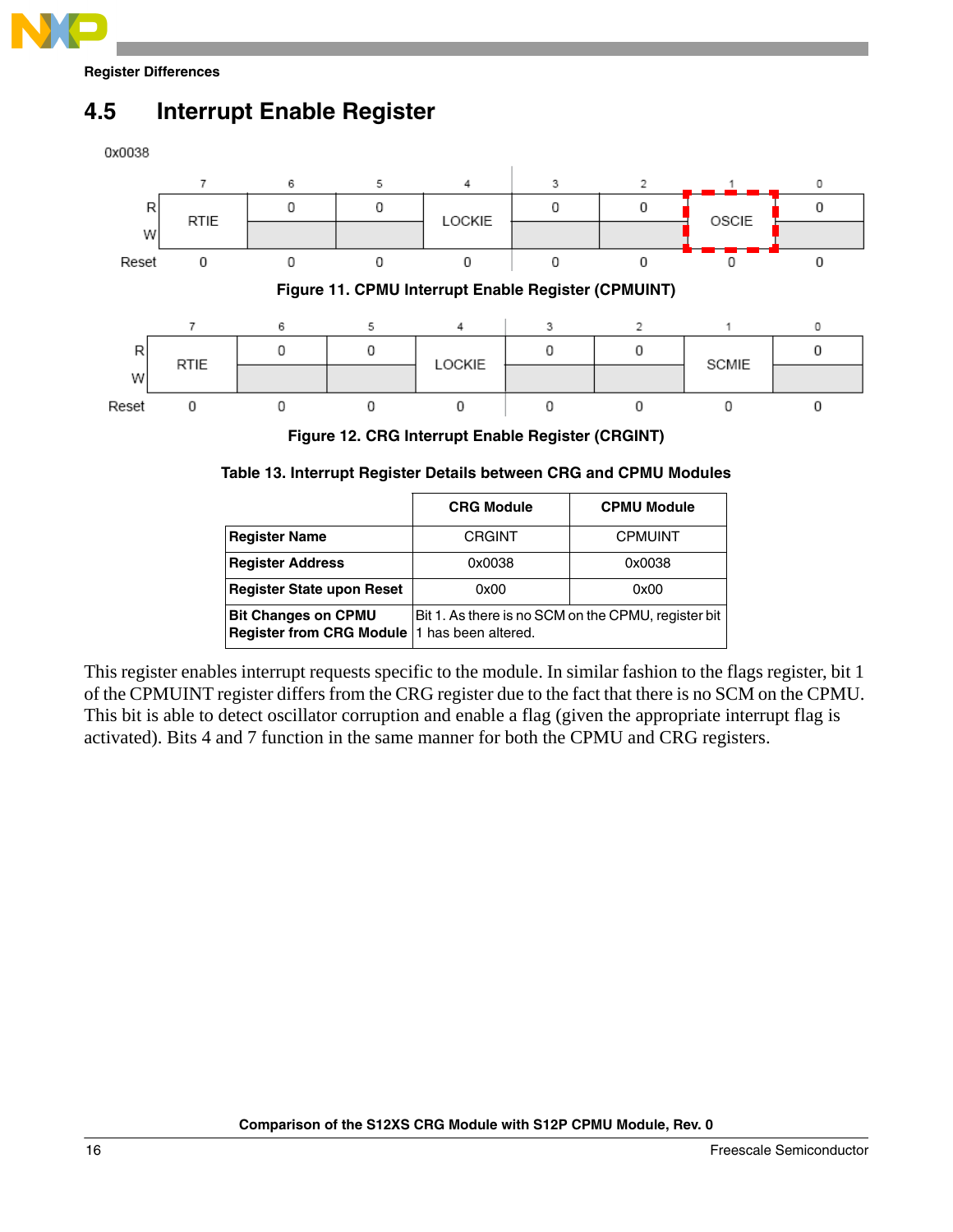



### <span id="page-15-0"></span>**4.5 Interrupt Enable Register**

**Figure 12. CRG Interrupt Enable Register (CRGINT)**

#### **Table 13. Interrupt Register Details between CRG and CPMU Modules**

|                                                                                   | <b>CRG Module</b>                                   | <b>CPMU Module</b> |  |  |
|-----------------------------------------------------------------------------------|-----------------------------------------------------|--------------------|--|--|
| <b>Register Name</b>                                                              | <b>CRGINT</b>                                       | <b>CPMUINT</b>     |  |  |
| <b>Register Address</b>                                                           | 0x0038                                              | 0x0038             |  |  |
| <b>Register State upon Reset</b>                                                  | 0x00                                                | 0x00               |  |  |
| <b>Bit Changes on CPMU</b><br><b>Register from CRG Module 1 has been altered.</b> | Bit 1. As there is no SCM on the CPMU, register bit |                    |  |  |

This register enables interrupt requests specific to the module. In similar fashion to the flags register, bit 1 of the CPMUINT register differs from the CRG register due to the fact that there is no SCM on the CPMU. This bit is able to detect oscillator corruption and enable a flag (given the appropriate interrupt flag is activated). Bits 4 and 7 function in the same manner for both the CPMU and CRG registers.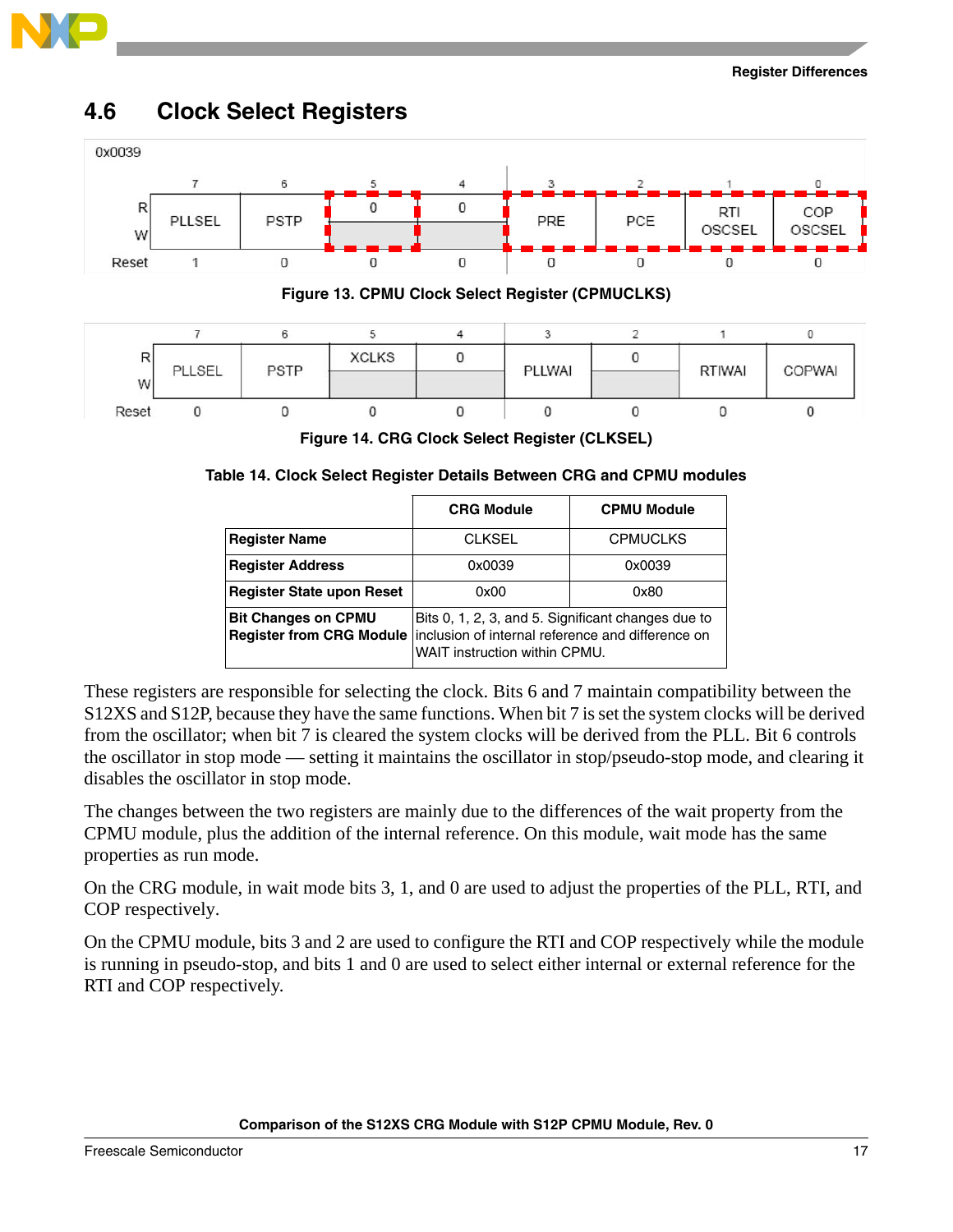

### <span id="page-16-0"></span>**4.6 Clock Select Registers**

**Figure 13. CPMU Clock Select Register (CPMUCLKS)**

| Ë     | PLLSEL | PSTP | <b>XCLKS</b> | PLLWAI | <b>RTIWAI</b> | COPWAI |
|-------|--------|------|--------------|--------|---------------|--------|
| W     |        |      |              |        |               |        |
| Reset |        |      |              |        |               | U      |

**Figure 14. CRG Clock Select Register (CLKSEL)**

|  |  | Table 14. Clock Select Register Details Between CRG and CPMU modules |  |  |
|--|--|----------------------------------------------------------------------|--|--|
|  |  |                                                                      |  |  |

|                                  | <b>CRG Module</b>                                                                                                                                                 | <b>CPMU Module</b> |  |  |
|----------------------------------|-------------------------------------------------------------------------------------------------------------------------------------------------------------------|--------------------|--|--|
| <b>Register Name</b>             | <b>CLKSEL</b>                                                                                                                                                     | <b>CPMUCLKS</b>    |  |  |
| <b>Register Address</b>          | 0x0039                                                                                                                                                            | 0x0039             |  |  |
| <b>Register State upon Reset</b> | 0x00                                                                                                                                                              | 0x80               |  |  |
| <b>Bit Changes on CPMU</b>       | Bits 0, 1, 2, 3, and 5. Significant changes due to<br>Register from CRG Module inclusion of internal reference and difference on<br>WAIT instruction within CPMU. |                    |  |  |

These registers are responsible for selecting the clock. Bits 6 and 7 maintain compatibility between the S12XS and S12P, because they have the same functions. When bit 7 is set the system clocks will be derived from the oscillator; when bit 7 is cleared the system clocks will be derived from the PLL. Bit 6 controls the oscillator in stop mode — setting it maintains the oscillator in stop/pseudo-stop mode, and clearing it disables the oscillator in stop mode.

The changes between the two registers are mainly due to the differences of the wait property from the CPMU module, plus the addition of the internal reference. On this module, wait mode has the same properties as run mode.

On the CRG module, in wait mode bits 3, 1, and 0 are used to adjust the properties of the PLL, RTI, and COP respectively.

On the CPMU module, bits 3 and 2 are used to configure the RTI and COP respectively while the module is running in pseudo-stop, and bits 1 and 0 are used to select either internal or external reference for the RTI and COP respectively.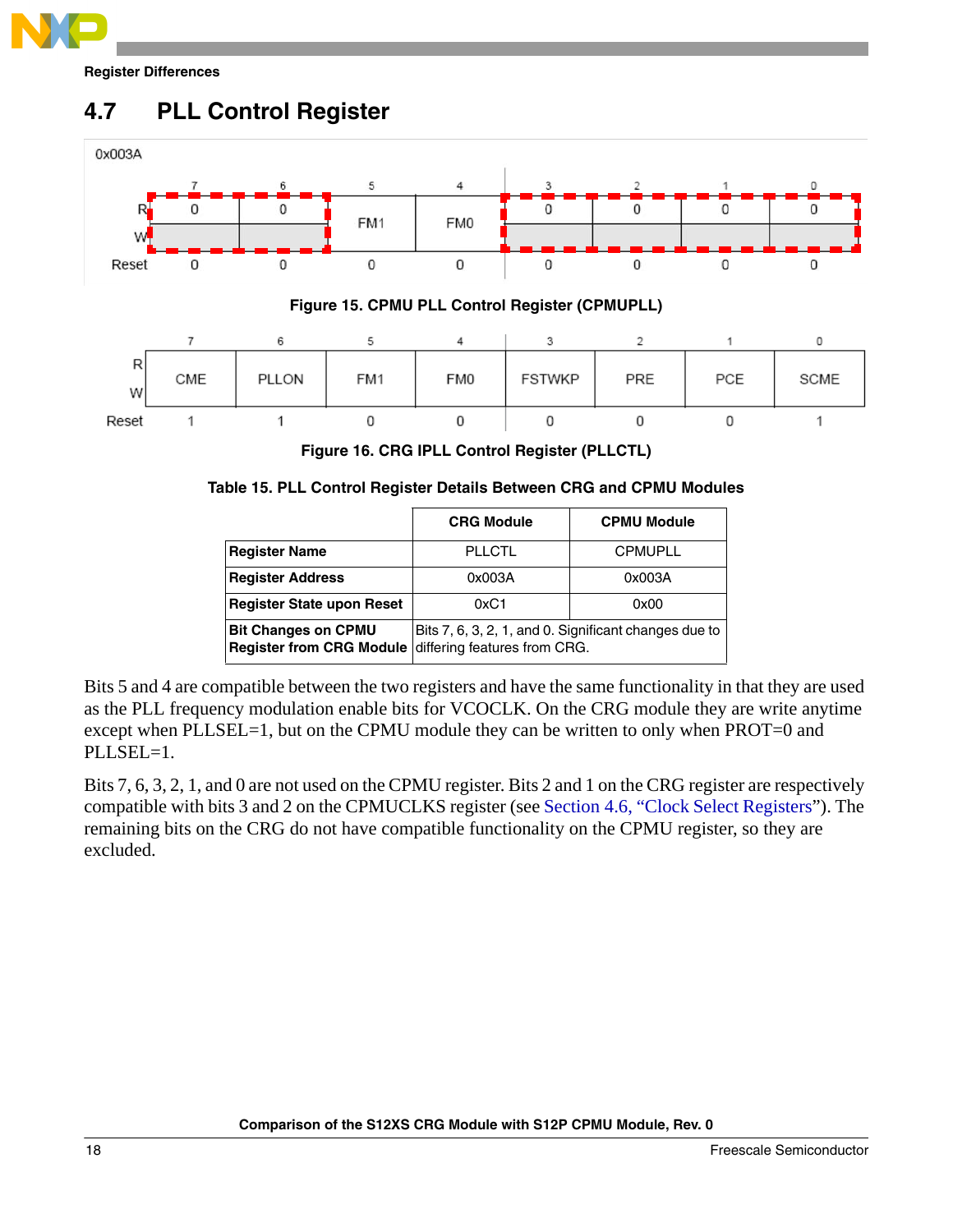

### <span id="page-17-0"></span>**4.7 PLL Control Register**



### **Figure 15. CPMU PLL Control Register (CPMUPLL)**



**Figure 16. CRG IPLL Control Register (PLLCTL)**

### **Table 15. PLL Control Register Details Between CRG and CPMU Modules**

|                                                               | <b>CRG Module</b>                                                                     | <b>CPMU Module</b> |
|---------------------------------------------------------------|---------------------------------------------------------------------------------------|--------------------|
| <b>Register Name</b>                                          | <b>PLLCTL</b>                                                                         | <b>CPMUPLL</b>     |
| <b>Register Address</b>                                       | 0x003A                                                                                | 0x003A             |
| <b>Register State upon Reset</b>                              | 0xC1                                                                                  | 0x00               |
| <b>Bit Changes on CPMU</b><br><b>Register from CRG Module</b> | Bits 7, 6, 3, 2, 1, and 0. Significant changes due to<br>differing features from CRG. |                    |

Bits 5 and 4 are compatible between the two registers and have the same functionality in that they are used as the PLL frequency modulation enable bits for VCOCLK. On the CRG module they are write anytime except when PLLSEL=1, but on the CPMU module they can be written to only when PROT=0 and PLLSEL=1.

Bits 7, 6, 3, 2, 1, and 0 are not used on the CPMU register. Bits 2 and 1 on the CRG register are respectively compatible with bits 3 and 2 on the CPMUCLKS register (see [Section 4.6, "Clock Select Registers"](#page-16-0)). The remaining bits on the CRG do not have compatible functionality on the CPMU register, so they are excluded.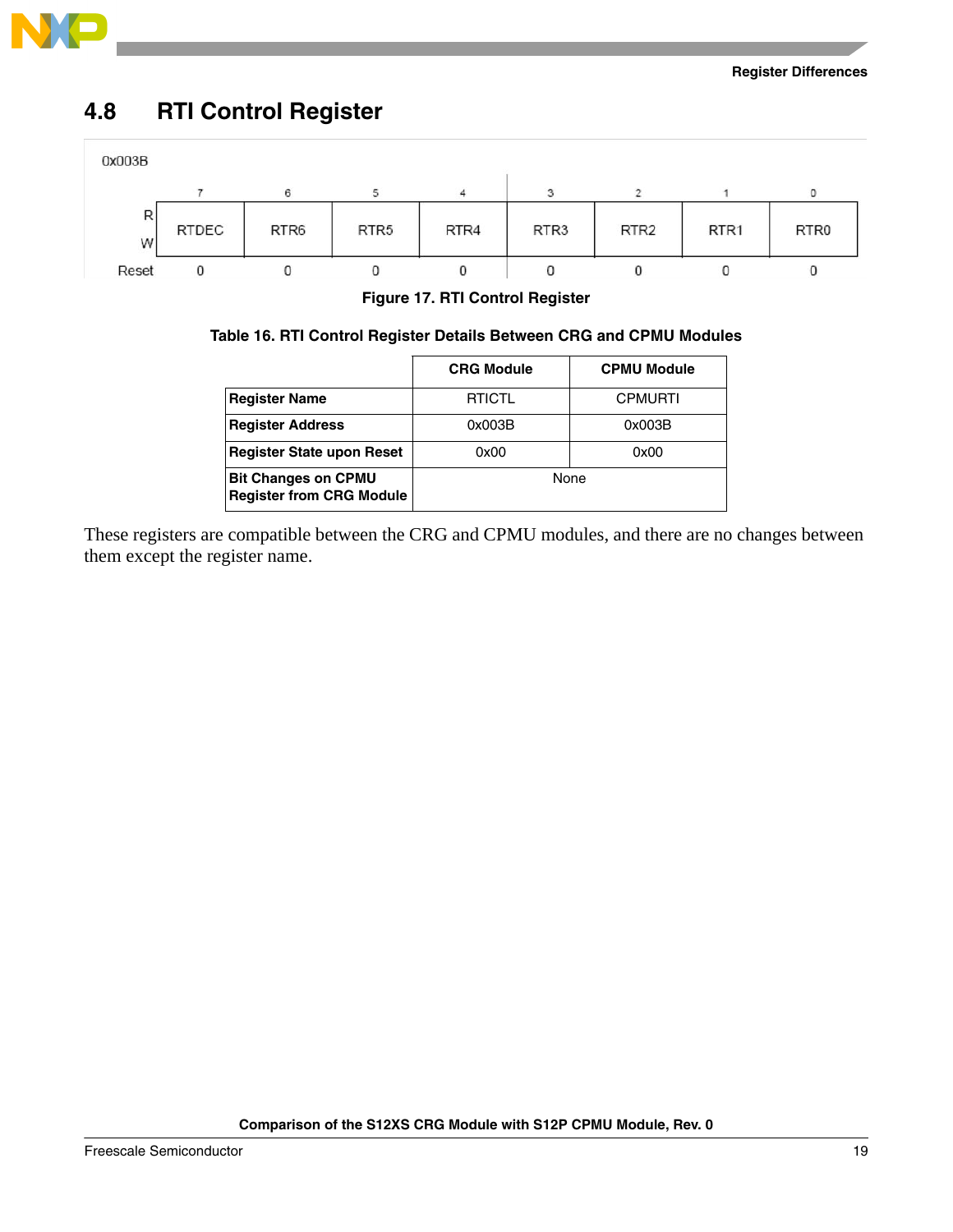

### <span id="page-18-0"></span>**4.8 RTI Control Register**



**Figure 17. RTI Control Register**

### **Table 16. RTI Control Register Details Between CRG and CPMU Modules**

|                                                               | <b>CRG Module</b> | <b>CPMU Module</b> |  |
|---------------------------------------------------------------|-------------------|--------------------|--|
| <b>Register Name</b>                                          | <b>RTICTL</b>     | <b>CPMURTI</b>     |  |
| <b>Register Address</b>                                       | 0x003B            | 0x003B             |  |
| <b>Register State upon Reset</b>                              | 0x00              | 0x00               |  |
| <b>Bit Changes on CPMU</b><br><b>Register from CRG Module</b> | None              |                    |  |

These registers are compatible between the CRG and CPMU modules, and there are no changes between them except the register name.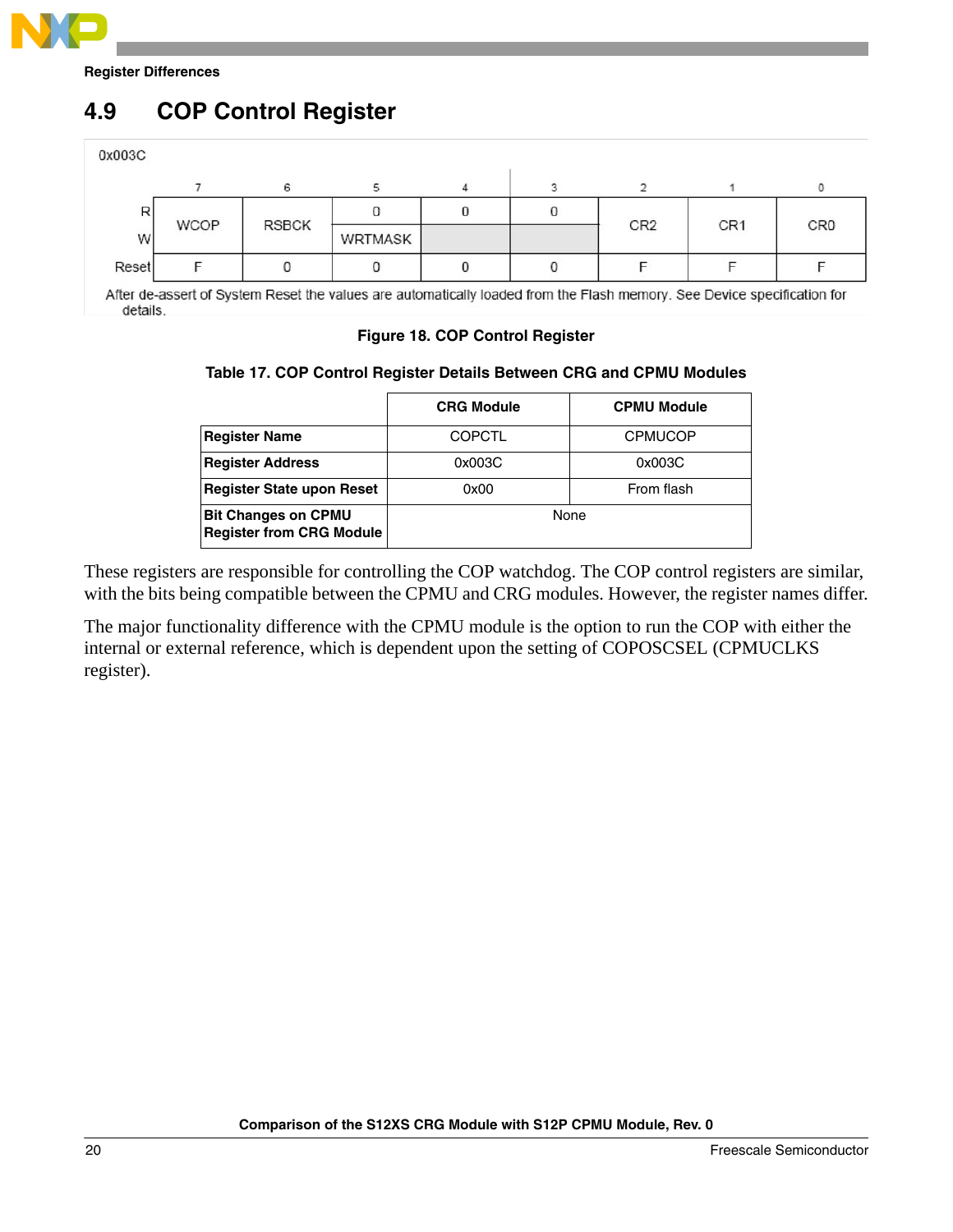

### <span id="page-19-0"></span>**4.9 COP Control Register**

| 0x003C |      |              |         |  |                 |     |                 |
|--------|------|--------------|---------|--|-----------------|-----|-----------------|
|        |      |              |         |  |                 |     |                 |
| R      | WCOP |              |         |  |                 |     |                 |
| W      |      | <b>RSBCK</b> | WRTMASK |  | CR <sub>2</sub> | CR1 | CR <sub>0</sub> |
| Reset  |      |              |         |  |                 |     |                 |

After de-assert of System Reset the values are automatically loaded from the Flash memory. See Device specification for details.

#### **Figure 18. COP Control Register**

|                                                               | <b>CRG Module</b> | <b>CPMU Module</b> |
|---------------------------------------------------------------|-------------------|--------------------|
| <b>Register Name</b>                                          | <b>COPCTL</b>     | <b>CPMUCOP</b>     |
| <b>Register Address</b>                                       | 0x003C            | 0x003C             |
| <b>Register State upon Reset</b>                              | 0x00              | From flash         |
| <b>Bit Changes on CPMU</b><br><b>Register from CRG Module</b> | None              |                    |

These registers are responsible for controlling the COP watchdog. The COP control registers are similar, with the bits being compatible between the CPMU and CRG modules. However, the register names differ.

The major functionality difference with the CPMU module is the option to run the COP with either the internal or external reference, which is dependent upon the setting of COPOSCSEL (CPMUCLKS register).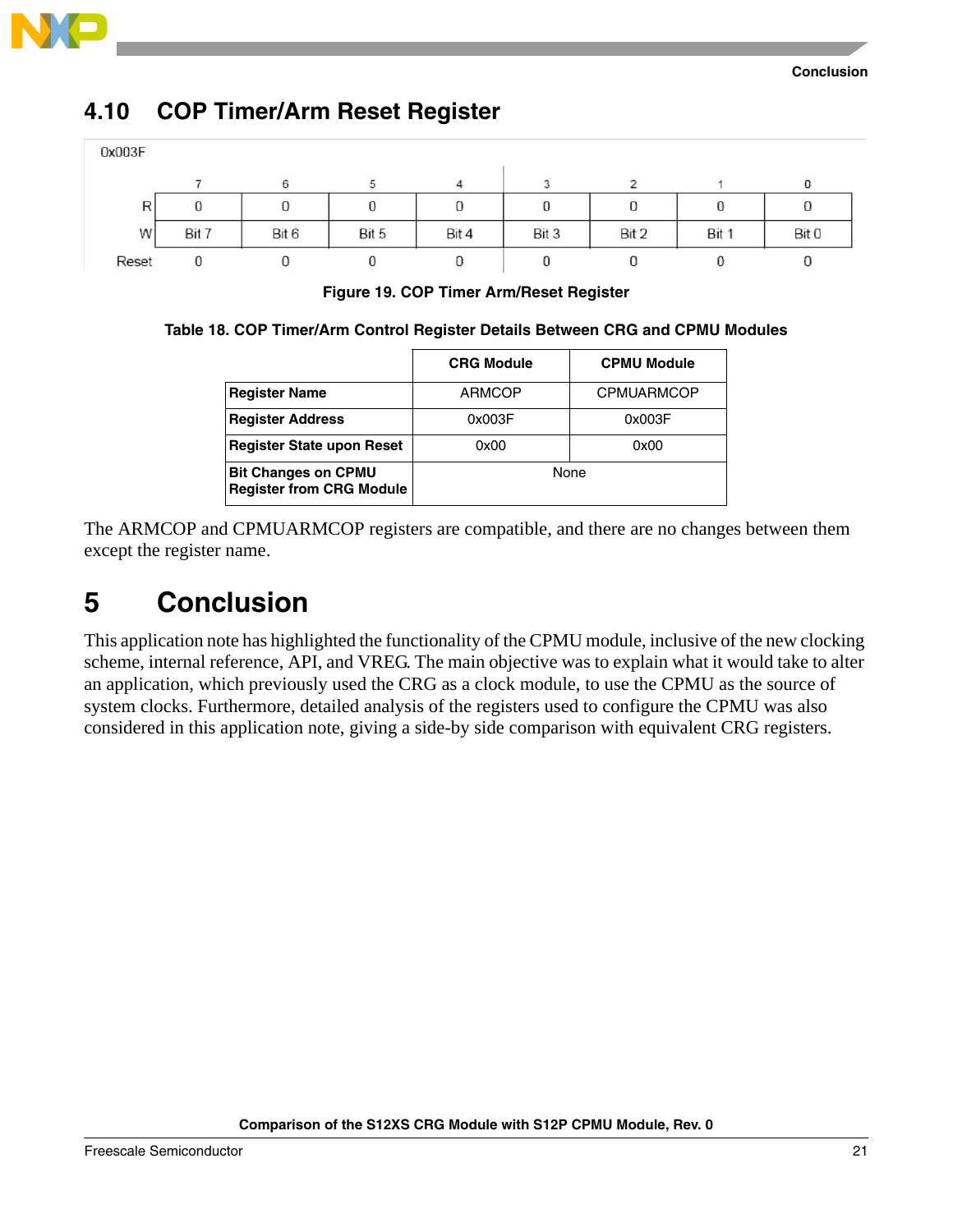

| 0x003F |       |       |       |       |       |       |       |       |
|--------|-------|-------|-------|-------|-------|-------|-------|-------|
|        |       |       |       |       |       |       |       |       |
|        |       |       |       |       |       |       |       | 0     |
| R      |       |       |       |       |       |       |       |       |
| W      | Bit 7 | Bit 6 | Bit 5 | Bit 4 | Bit 3 | Bit 2 | Bit 1 | Bit 0 |
| Reset  |       |       |       | U     |       |       |       |       |

### <span id="page-20-0"></span>**4.10 COP Timer/Arm Reset Register**

**Figure 19. COP Timer Arm/Reset Register**

|  | Table 18. COP Timer/Arm Control Register Details Between CRG and CPMU Modules |  |  |  |
|--|-------------------------------------------------------------------------------|--|--|--|
|--|-------------------------------------------------------------------------------|--|--|--|

|                                                               | <b>CRG Module</b> | <b>CPMU Module</b> |  |
|---------------------------------------------------------------|-------------------|--------------------|--|
| <b>Register Name</b>                                          | ARMCOP            | <b>CPMUARMCOP</b>  |  |
| <b>Register Address</b>                                       | 0x003F            | 0x003F             |  |
| <b>Register State upon Reset</b>                              | 0x00              | 0x00               |  |
| <b>Bit Changes on CPMU</b><br><b>Register from CRG Module</b> | None              |                    |  |

The ARMCOP and CPMUARMCOP registers are compatible, and there are no changes between them except the register name.

## <span id="page-20-1"></span>**5 Conclusion**

This application note has highlighted the functionality of the CPMU module, inclusive of the new clocking scheme, internal reference, API, and VREG. The main objective was to explain what it would take to alter an application, which previously used the CRG as a clock module, to use the CPMU as the source of system clocks. Furthermore, detailed analysis of the registers used to configure the CPMU was also considered in this application note, giving a side-by side comparison with equivalent CRG registers.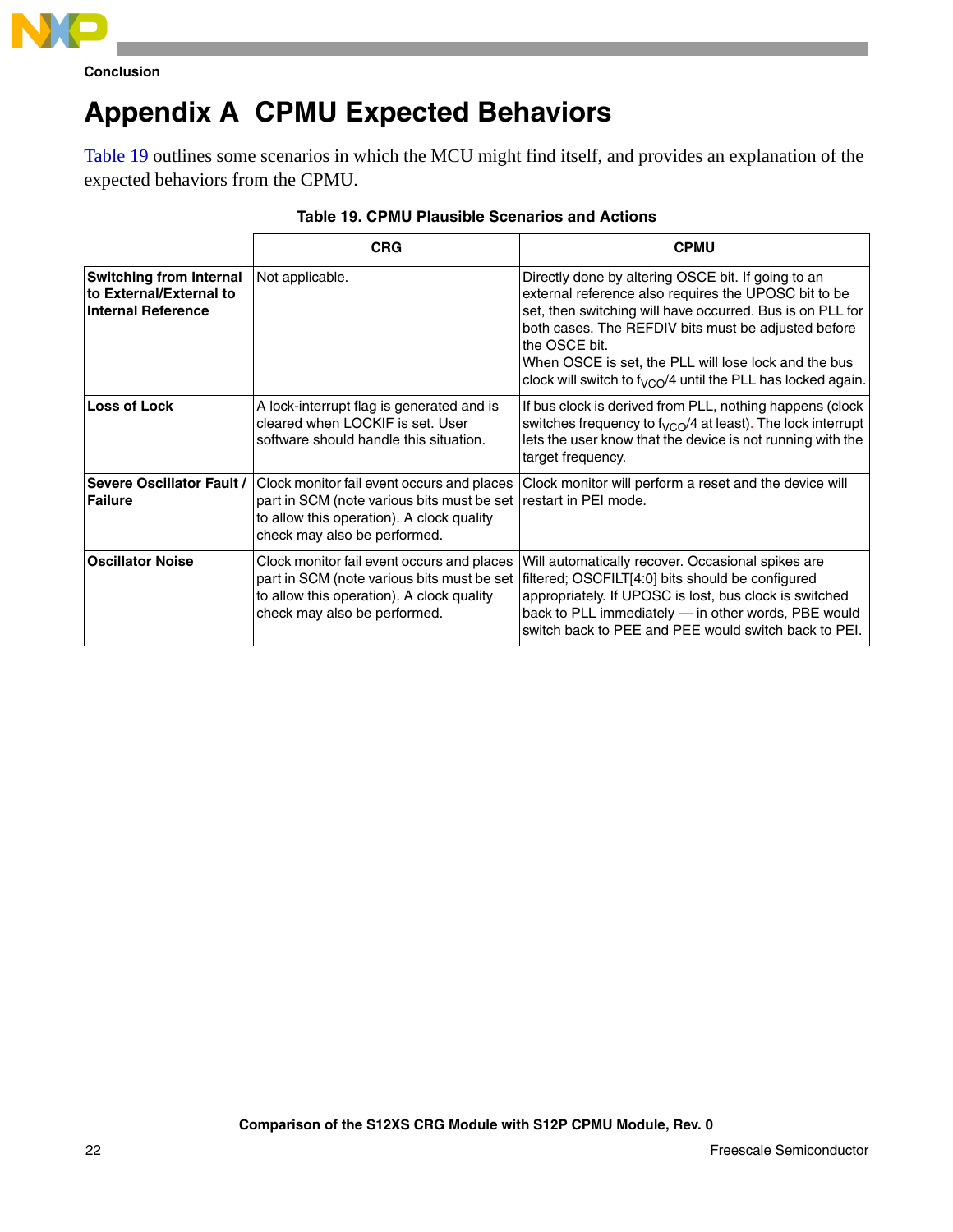

## <span id="page-21-0"></span>**Appendix A CPMU Expected Behaviors**

[Table 19](#page-21-1) outlines some scenarios in which the MCU might find itself, and provides an explanation of the expected behaviors from the CPMU.

<span id="page-21-1"></span>

|                                                                                 | <b>CRG</b>                                                                                                                                                            | <b>CPMU</b>                                                                                                                                                                                                                                                                                                                                                                 |
|---------------------------------------------------------------------------------|-----------------------------------------------------------------------------------------------------------------------------------------------------------------------|-----------------------------------------------------------------------------------------------------------------------------------------------------------------------------------------------------------------------------------------------------------------------------------------------------------------------------------------------------------------------------|
| <b>Switching from Internal</b><br>to External/External to<br>Internal Reference | Not applicable.                                                                                                                                                       | Directly done by altering OSCE bit. If going to an<br>external reference also requires the UPOSC bit to be<br>set, then switching will have occurred. Bus is on PLL for<br>both cases. The REFDIV bits must be adjusted before<br>the OSCE bit.<br>When OSCE is set, the PLL will lose lock and the bus<br>clock will switch to $f_{VCO}/4$ until the PLL has locked again. |
| <b>Loss of Lock</b>                                                             | A lock-interrupt flag is generated and is<br>cleared when LOCKIF is set. User<br>software should handle this situation.                                               | If bus clock is derived from PLL, nothing happens (clock<br>switches frequency to $f_{VCO}/4$ at least). The lock interrupt<br>lets the user know that the device is not running with the<br>target frequency.                                                                                                                                                              |
| Severe Oscillator Fault /<br>Failure                                            | Clock monitor fail event occurs and places<br>part in SCM (note various bits must be set<br>to allow this operation). A clock quality<br>check may also be performed. | Clock monitor will perform a reset and the device will<br>restart in PEI mode.                                                                                                                                                                                                                                                                                              |
| <b>Oscillator Noise</b>                                                         | Clock monitor fail event occurs and places<br>part in SCM (note various bits must be set<br>to allow this operation). A clock quality<br>check may also be performed. | Will automatically recover. Occasional spikes are<br>filtered; OSCFILT[4:0] bits should be configured<br>appropriately. If UPOSC is lost, bus clock is switched<br>back to PLL immediately - in other words, PBE would<br>switch back to PEE and PEE would switch back to PEI.                                                                                              |

### **Table 19. CPMU Plausible Scenarios and Actions**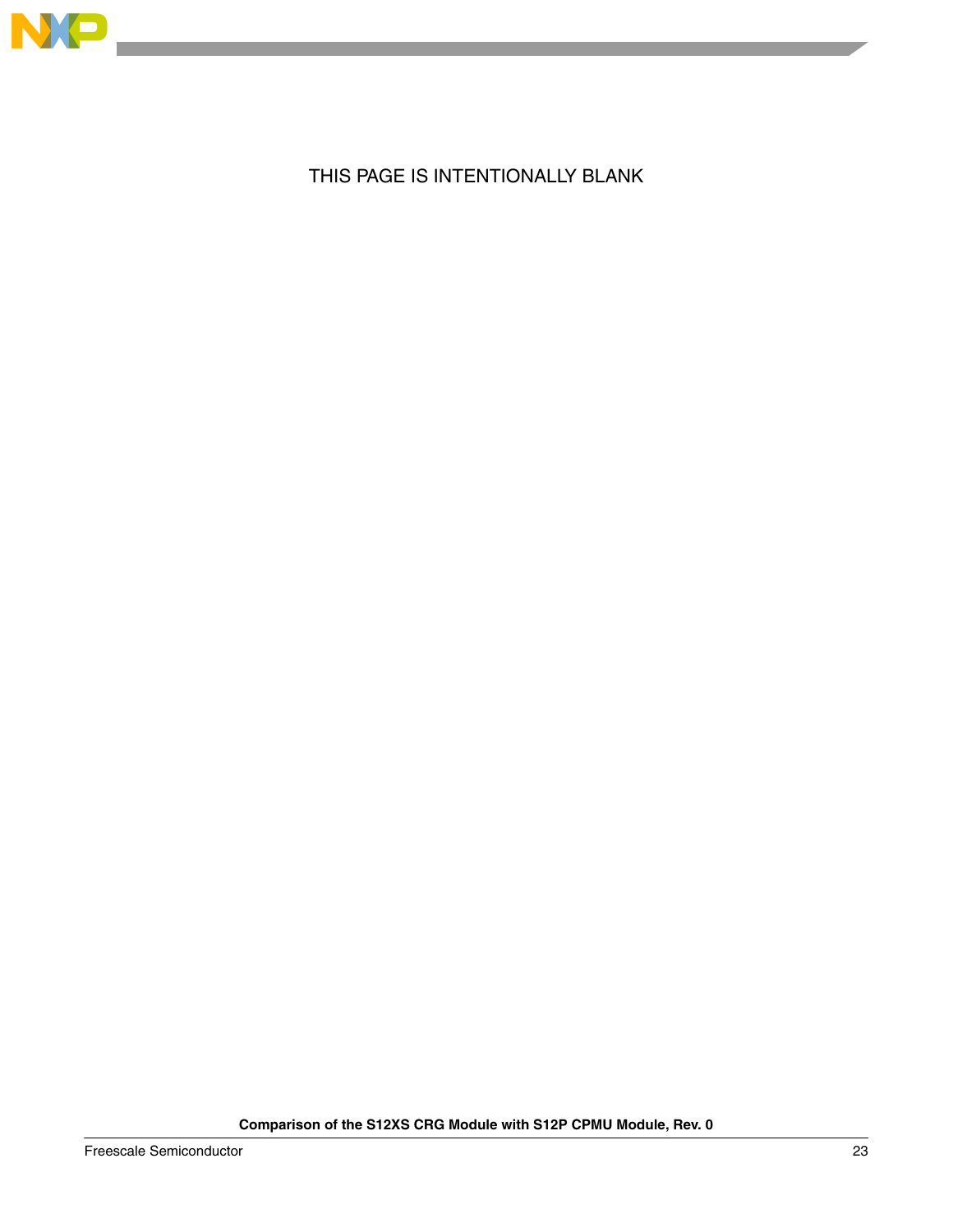

THIS PAGE IS INTENTIONALLY BLANK

**Comparison of the S12XS CRG Module with S12P CPMU Module, Rev. 0**